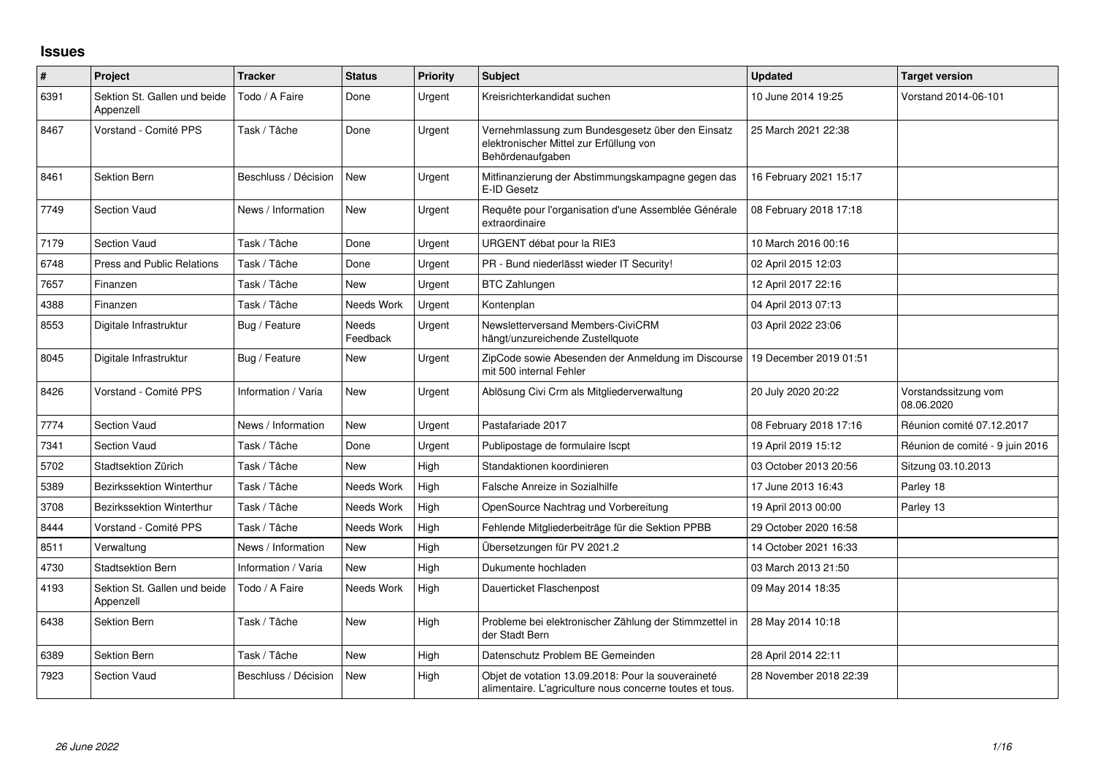## **Issues**

| $\vert$ # | Project                                   | <b>Tracker</b>       | <b>Status</b>     | <b>Priority</b> | <b>Subject</b>                                                                                                  | <b>Updated</b>         | <b>Target version</b>              |
|-----------|-------------------------------------------|----------------------|-------------------|-----------------|-----------------------------------------------------------------------------------------------------------------|------------------------|------------------------------------|
| 6391      | Sektion St. Gallen und beide<br>Appenzell | Todo / A Faire       | Done              | Urgent          | Kreisrichterkandidat suchen                                                                                     | 10 June 2014 19:25     | Vorstand 2014-06-101               |
| 8467      | Vorstand - Comité PPS                     | Task / Tâche         | Done              | Urgent          | Vernehmlassung zum Bundesgesetz über den Einsatz<br>elektronischer Mittel zur Erfüllung von<br>Behördenaufgaben | 25 March 2021 22:38    |                                    |
| 8461      | Sektion Bern                              | Beschluss / Décision | <b>New</b>        | Urgent          | Mitfinanzierung der Abstimmungskampagne gegen das<br>E-ID Gesetz                                                | 16 February 2021 15:17 |                                    |
| 7749      | <b>Section Vaud</b>                       | News / Information   | <b>New</b>        | Urgent          | Requête pour l'organisation d'une Assemblée Générale<br>extraordinaire                                          | 08 February 2018 17:18 |                                    |
| 7179      | <b>Section Vaud</b>                       | Task / Tâche         | Done              | Urgent          | URGENT débat pour la RIE3                                                                                       | 10 March 2016 00:16    |                                    |
| 6748      | <b>Press and Public Relations</b>         | Task / Tâche         | Done              | Urgent          | PR - Bund niederlässt wieder IT Security!                                                                       | 02 April 2015 12:03    |                                    |
| 7657      | Finanzen                                  | Task / Tâche         | <b>New</b>        | Urgent          | <b>BTC Zahlungen</b>                                                                                            | 12 April 2017 22:16    |                                    |
| 4388      | Finanzen                                  | Task / Tâche         | Needs Work        | Urgent          | Kontenplan                                                                                                      | 04 April 2013 07:13    |                                    |
| 8553      | Digitale Infrastruktur                    | Bug / Feature        | Needs<br>Feedback | Urgent          | Newsletterversand Members-CiviCRM<br>hängt/unzureichende Zustellquote                                           | 03 April 2022 23:06    |                                    |
| 8045      | Digitale Infrastruktur                    | Bug / Feature        | New               | Urgent          | ZipCode sowie Abesenden der Anmeldung im Discourse   19 December 2019 01:51<br>mit 500 internal Fehler          |                        |                                    |
| 8426      | Vorstand - Comité PPS                     | Information / Varia  | <b>New</b>        | Urgent          | Ablösung Civi Crm als Mitgliederverwaltung                                                                      | 20 July 2020 20:22     | Vorstandssitzung vom<br>08.06.2020 |
| 7774      | <b>Section Vaud</b>                       | News / Information   | <b>New</b>        | Urgent          | Pastafariade 2017                                                                                               | 08 February 2018 17:16 | Réunion comité 07.12.2017          |
| 7341      | <b>Section Vaud</b>                       | Task / Tâche         | Done              | Urgent          | Publipostage de formulaire Iscpt                                                                                | 19 April 2019 15:12    | Réunion de comité - 9 juin 2016    |
| 5702      | Stadtsektion Zürich                       | Task / Tâche         | <b>New</b>        | High            | Standaktionen koordinieren                                                                                      | 03 October 2013 20:56  | Sitzung 03.10.2013                 |
| 5389      | Bezirkssektion Winterthur                 | Task / Tâche         | Needs Work        | High            | Falsche Anreize in Sozialhilfe                                                                                  | 17 June 2013 16:43     | Parley 18                          |
| 3708      | <b>Bezirkssektion Winterthur</b>          | Task / Tâche         | Needs Work        | High            | OpenSource Nachtrag und Vorbereitung                                                                            | 19 April 2013 00:00    | Parley 13                          |
| 8444      | Vorstand - Comité PPS                     | Task / Tâche         | Needs Work        | High            | Fehlende Mitgliederbeiträge für die Sektion PPBB                                                                | 29 October 2020 16:58  |                                    |
| 8511      | Verwaltung                                | News / Information   | <b>New</b>        | High            | Übersetzungen für PV 2021.2                                                                                     | 14 October 2021 16:33  |                                    |
| 4730      | <b>Stadtsektion Bern</b>                  | Information / Varia  | <b>New</b>        | High            | Dukumente hochladen                                                                                             | 03 March 2013 21:50    |                                    |
| 4193      | Sektion St. Gallen und beide<br>Appenzell | Todo / A Faire       | Needs Work        | High            | Dauerticket Flaschenpost                                                                                        | 09 May 2014 18:35      |                                    |
| 6438      | Sektion Bern                              | Task / Tâche         | <b>New</b>        | High            | Probleme bei elektronischer Zählung der Stimmzettel in<br>der Stadt Bern                                        | 28 May 2014 10:18      |                                    |
| 6389      | Sektion Bern                              | Task / Tâche         | <b>New</b>        | High            | Datenschutz Problem BE Gemeinden                                                                                | 28 April 2014 22:11    |                                    |
| 7923      | Section Vaud                              | Beschluss / Décision | <b>New</b>        | High            | Objet de votation 13.09.2018: Pour la souveraineté<br>alimentaire. L'agriculture nous concerne toutes et tous.  | 28 November 2018 22:39 |                                    |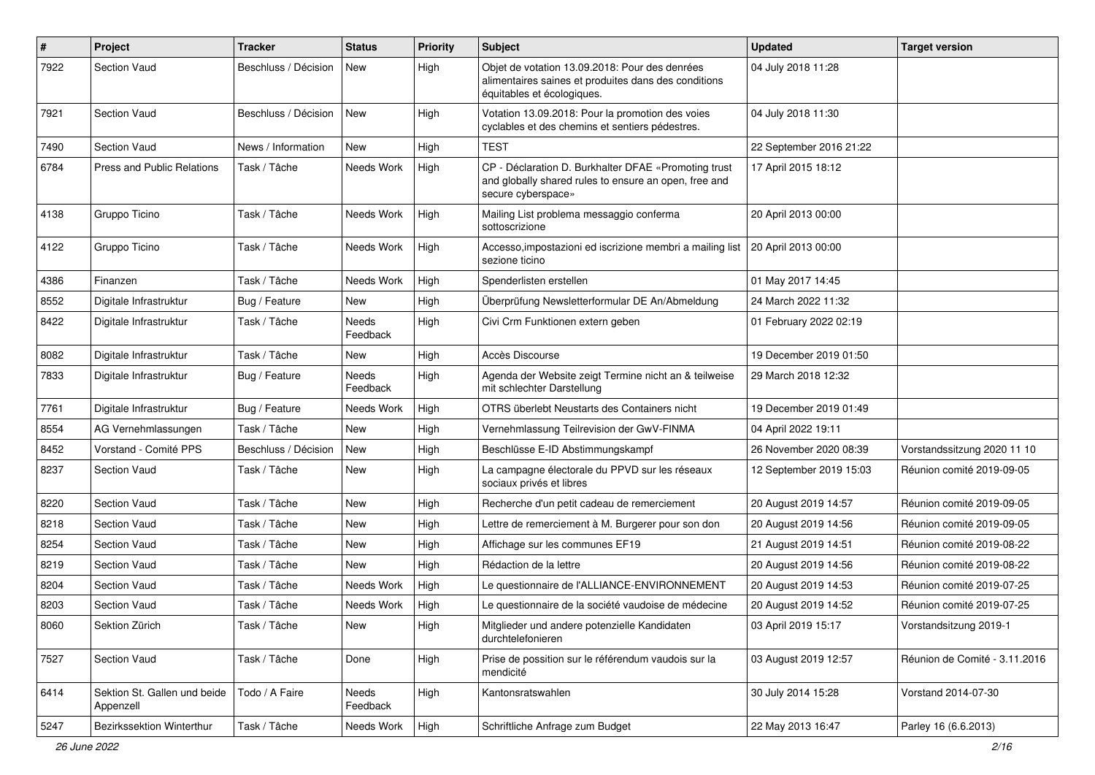| $\pmb{\#}$ | Project                                   | <b>Tracker</b>       | <b>Status</b>     | <b>Priority</b> | <b>Subject</b>                                                                                                                       | <b>Updated</b>          | <b>Target version</b>         |
|------------|-------------------------------------------|----------------------|-------------------|-----------------|--------------------------------------------------------------------------------------------------------------------------------------|-------------------------|-------------------------------|
| 7922       | <b>Section Vaud</b>                       | Beschluss / Décision | New               | High            | Objet de votation 13.09.2018: Pour des denrées<br>alimentaires saines et produites dans des conditions<br>équitables et écologiques. | 04 July 2018 11:28      |                               |
| 7921       | Section Vaud                              | Beschluss / Décision | New               | High            | Votation 13.09.2018: Pour la promotion des voies<br>cyclables et des chemins et sentiers pédestres.                                  | 04 July 2018 11:30      |                               |
| 7490       | <b>Section Vaud</b>                       | News / Information   | New               | High            | <b>TEST</b>                                                                                                                          | 22 September 2016 21:22 |                               |
| 6784       | Press and Public Relations                | Task / Tâche         | Needs Work        | High            | CP - Déclaration D. Burkhalter DFAE «Promoting trust<br>and globally shared rules to ensure an open, free and<br>secure cyberspace»  | 17 April 2015 18:12     |                               |
| 4138       | Gruppo Ticino                             | Task / Tâche         | Needs Work        | High            | Mailing List problema messaggio conferma<br>sottoscrizione                                                                           | 20 April 2013 00:00     |                               |
| 4122       | Gruppo Ticino                             | Task / Tâche         | Needs Work        | High            | Accesso, impostazioni ed iscrizione membri a mailing list<br>sezione ticino                                                          | 20 April 2013 00:00     |                               |
| 4386       | Finanzen                                  | Task / Tâche         | Needs Work        | High            | Spenderlisten erstellen                                                                                                              | 01 May 2017 14:45       |                               |
| 8552       | Digitale Infrastruktur                    | Bug / Feature        | New               | High            | Überprüfung Newsletterformular DE An/Abmeldung                                                                                       | 24 March 2022 11:32     |                               |
| 8422       | Digitale Infrastruktur                    | Task / Tâche         | Needs<br>Feedback | High            | Civi Crm Funktionen extern geben                                                                                                     | 01 February 2022 02:19  |                               |
| 8082       | Digitale Infrastruktur                    | Task / Tâche         | New               | High            | Accès Discourse                                                                                                                      | 19 December 2019 01:50  |                               |
| 7833       | Digitale Infrastruktur                    | Bug / Feature        | Needs<br>Feedback | High            | Agenda der Website zeigt Termine nicht an & teilweise<br>mit schlechter Darstellung                                                  | 29 March 2018 12:32     |                               |
| 7761       | Digitale Infrastruktur                    | Bug / Feature        | Needs Work        | High            | OTRS überlebt Neustarts des Containers nicht                                                                                         | 19 December 2019 01:49  |                               |
| 8554       | AG Vernehmlassungen                       | Task / Tâche         | New               | High            | Vernehmlassung Teilrevision der GwV-FINMA                                                                                            | 04 April 2022 19:11     |                               |
| 8452       | Vorstand - Comité PPS                     | Beschluss / Décision | New               | High            | Beschlüsse E-ID Abstimmungskampf                                                                                                     | 26 November 2020 08:39  | Vorstandssitzung 2020 11 10   |
| 8237       | <b>Section Vaud</b>                       | Task / Tâche         | New               | High            | La campagne électorale du PPVD sur les réseaux<br>sociaux privés et libres                                                           | 12 September 2019 15:03 | Réunion comité 2019-09-05     |
| 8220       | <b>Section Vaud</b>                       | Task / Tâche         | <b>New</b>        | High            | Recherche d'un petit cadeau de remerciement                                                                                          | 20 August 2019 14:57    | Réunion comité 2019-09-05     |
| 8218       | <b>Section Vaud</b>                       | Task / Tâche         | New               | High            | Lettre de remerciement à M. Burgerer pour son don                                                                                    | 20 August 2019 14:56    | Réunion comité 2019-09-05     |
| 8254       | <b>Section Vaud</b>                       | Task / Tâche         | New               | High            | Affichage sur les communes EF19                                                                                                      | 21 August 2019 14:51    | Réunion comité 2019-08-22     |
| 8219       | <b>Section Vaud</b>                       | Task / Tâche         | New               | High            | Rédaction de la lettre                                                                                                               | 20 August 2019 14:56    | Réunion comité 2019-08-22     |
| 8204       | <b>Section Vaud</b>                       | Task / Tâche         | Needs Work        | High            | Le questionnaire de l'ALLIANCE-ENVIRONNEMENT                                                                                         | 20 August 2019 14:53    | Réunion comité 2019-07-25     |
| 8203       | <b>Section Vaud</b>                       | Task / Tâche         | Needs Work        | High            | Le questionnaire de la société vaudoise de médecine                                                                                  | 20 August 2019 14:52    | Réunion comité 2019-07-25     |
| 8060       | Sektion Zürich                            | Task / Tâche         | New               | High            | Mitglieder und andere potenzielle Kandidaten<br>durchtelefonieren                                                                    | 03 April 2019 15:17     | Vorstandsitzung 2019-1        |
| 7527       | Section Vaud                              | Task / Tâche         | Done              | High            | Prise de possition sur le référendum vaudois sur la<br>mendicité                                                                     | 03 August 2019 12:57    | Réunion de Comité - 3.11.2016 |
| 6414       | Sektion St. Gallen und beide<br>Appenzell | Todo / A Faire       | Needs<br>Feedback | High            | Kantonsratswahlen                                                                                                                    | 30 July 2014 15:28      | Vorstand 2014-07-30           |
| 5247       | Bezirkssektion Winterthur                 | Task / Tâche         | Needs Work        | High            | Schriftliche Anfrage zum Budget                                                                                                      | 22 May 2013 16:47       | Parley 16 (6.6.2013)          |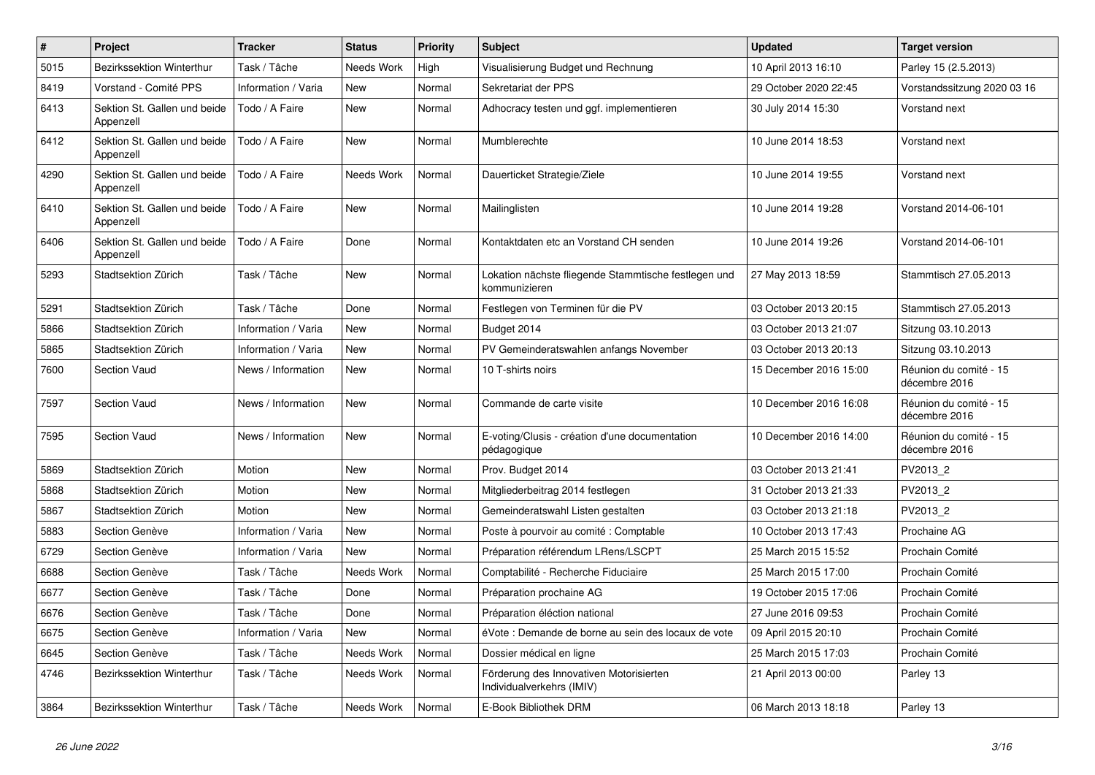| $\vert$ # | Project                                   | <b>Tracker</b>      | <b>Status</b> | <b>Priority</b> | <b>Subject</b>                                                        | <b>Updated</b>         | <b>Target version</b>                   |
|-----------|-------------------------------------------|---------------------|---------------|-----------------|-----------------------------------------------------------------------|------------------------|-----------------------------------------|
| 5015      | <b>Bezirkssektion Winterthur</b>          | Task / Tâche        | Needs Work    | High            | Visualisierung Budget und Rechnung                                    | 10 April 2013 16:10    | Parley 15 (2.5.2013)                    |
| 8419      | Vorstand - Comité PPS                     | Information / Varia | <b>New</b>    | Normal          | Sekretariat der PPS                                                   | 29 October 2020 22:45  | Vorstandssitzung 2020 03 16             |
| 6413      | Sektion St. Gallen und beide<br>Appenzell | Todo / A Faire      | New           | Normal          | Adhocracy testen und ggf. implementieren                              | 30 July 2014 15:30     | Vorstand next                           |
| 6412      | Sektion St. Gallen und beide<br>Appenzell | Todo / A Faire      | <b>New</b>    | Normal          | Mumblerechte                                                          | 10 June 2014 18:53     | Vorstand next                           |
| 4290      | Sektion St. Gallen und beide<br>Appenzell | Todo / A Faire      | Needs Work    | Normal          | Dauerticket Strategie/Ziele                                           | 10 June 2014 19:55     | Vorstand next                           |
| 6410      | Sektion St. Gallen und beide<br>Appenzell | Todo / A Faire      | New           | Normal          | Mailinglisten                                                         | 10 June 2014 19:28     | Vorstand 2014-06-101                    |
| 6406      | Sektion St. Gallen und beide<br>Appenzell | Todo / A Faire      | Done          | Normal          | Kontaktdaten etc an Vorstand CH senden                                | 10 June 2014 19:26     | Vorstand 2014-06-101                    |
| 5293      | Stadtsektion Zürich                       | Task / Tâche        | New           | Normal          | Lokation nächste fliegende Stammtische festlegen und<br>kommunizieren | 27 May 2013 18:59      | Stammtisch 27.05.2013                   |
| 5291      | Stadtsektion Zürich                       | Task / Tâche        | Done          | Normal          | Festlegen von Terminen für die PV                                     | 03 October 2013 20:15  | Stammtisch 27.05.2013                   |
| 5866      | Stadtsektion Zürich                       | Information / Varia | New           | Normal          | Budget 2014                                                           | 03 October 2013 21:07  | Sitzung 03.10.2013                      |
| 5865      | Stadtsektion Zürich                       | Information / Varia | <b>New</b>    | Normal          | PV Gemeinderatswahlen anfangs November                                | 03 October 2013 20:13  | Sitzung 03.10.2013                      |
| 7600      | <b>Section Vaud</b>                       | News / Information  | <b>New</b>    | Normal          | 10 T-shirts noirs                                                     | 15 December 2016 15:00 | Réunion du comité - 15<br>décembre 2016 |
| 7597      | <b>Section Vaud</b>                       | News / Information  | New           | Normal          | Commande de carte visite                                              | 10 December 2016 16:08 | Réunion du comité - 15<br>décembre 2016 |
| 7595      | Section Vaud                              | News / Information  | <b>New</b>    | Normal          | E-voting/Clusis - création d'une documentation<br>pédagogique         | 10 December 2016 14:00 | Réunion du comité - 15<br>décembre 2016 |
| 5869      | Stadtsektion Zürich                       | Motion              | <b>New</b>    | Normal          | Prov. Budget 2014                                                     | 03 October 2013 21:41  | PV2013 2                                |
| 5868      | Stadtsektion Zürich                       | Motion              | <b>New</b>    | Normal          | Mitgliederbeitrag 2014 festlegen                                      | 31 October 2013 21:33  | PV2013 2                                |
| 5867      | Stadtsektion Zürich                       | Motion              | New           | Normal          | Gemeinderatswahl Listen gestalten                                     | 03 October 2013 21:18  | PV2013 2                                |
| 5883      | Section Genève                            | Information / Varia | New           | Normal          | Poste à pourvoir au comité : Comptable                                | 10 October 2013 17:43  | Prochaine AG                            |
| 6729      | Section Genève                            | Information / Varia | <b>New</b>    | Normal          | Préparation référendum LRens/LSCPT                                    | 25 March 2015 15:52    | Prochain Comité                         |
| 6688      | Section Genève                            | Task / Tâche        | Needs Work    | Normal          | Comptabilité - Recherche Fiduciaire                                   | 25 March 2015 17:00    | Prochain Comité                         |
| 6677      | Section Genève                            | Task / Tâche        | Done          | Normal          | Préparation prochaine AG                                              | 19 October 2015 17:06  | Prochain Comité                         |
| 6676      | Section Genève                            | Task / Tâche        | Done          | Normal          | Préparation éléction national                                         | 27 June 2016 09:53     | Prochain Comité                         |
| 6675      | Section Genève                            | Information / Varia | <b>New</b>    | Normal          | éVote : Demande de borne au sein des locaux de vote                   | 09 April 2015 20:10    | Prochain Comité                         |
| 6645      | Section Genève                            | Task / Tâche        | Needs Work    | Normal          | Dossier médical en ligne                                              | 25 March 2015 17:03    | Prochain Comité                         |
| 4746      | <b>Bezirkssektion Winterthur</b>          | Task / Tâche        | Needs Work    | Normal          | Förderung des Innovativen Motorisierten<br>Individualverkehrs (IMIV)  | 21 April 2013 00:00    | Parley 13                               |
| 3864      | Bezirkssektion Winterthur                 | Task / Tâche        | Needs Work    | Normal          | E-Book Bibliothek DRM                                                 | 06 March 2013 18:18    | Parley 13                               |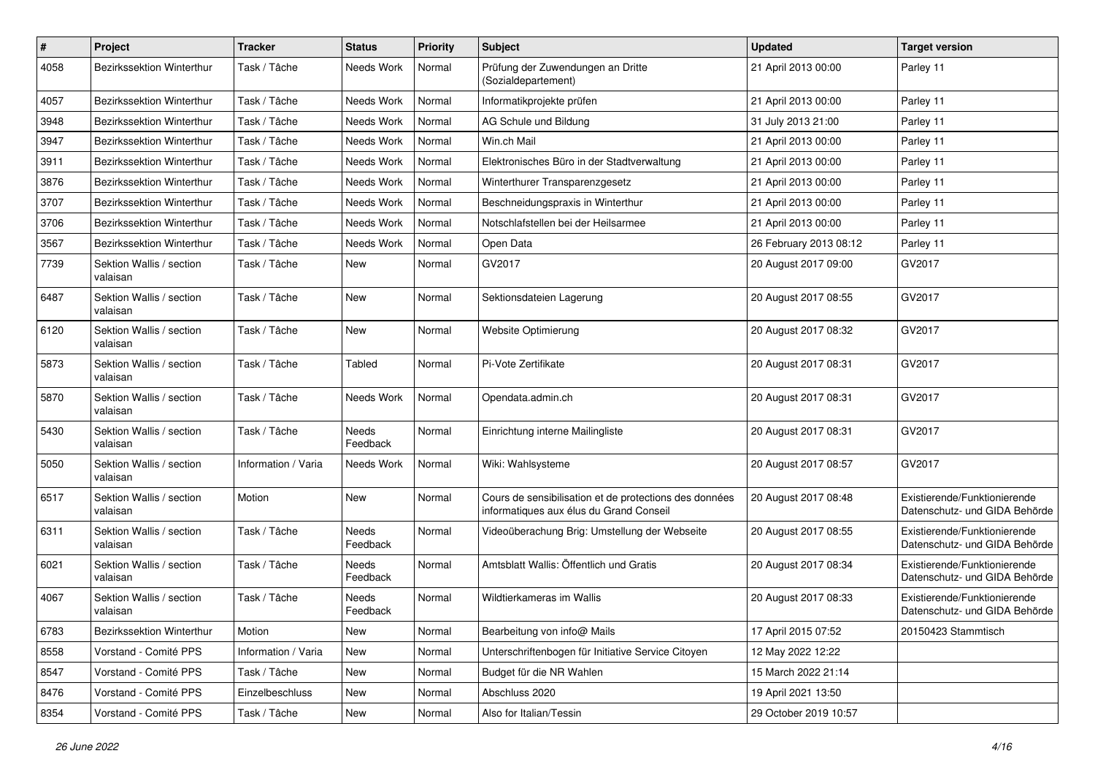| $\sharp$ | Project                              | <b>Tracker</b>      | <b>Status</b>            | <b>Priority</b> | Subject                                                                                           | <b>Updated</b>         | <b>Target version</b>                                         |
|----------|--------------------------------------|---------------------|--------------------------|-----------------|---------------------------------------------------------------------------------------------------|------------------------|---------------------------------------------------------------|
| 4058     | Bezirkssektion Winterthur            | Task / Tâche        | Needs Work               | Normal          | Prüfung der Zuwendungen an Dritte<br>(Sozialdepartement)                                          | 21 April 2013 00:00    | Parley 11                                                     |
| 4057     | Bezirkssektion Winterthur            | Task / Tâche        | Needs Work               | Normal          | Informatikprojekte prüfen                                                                         | 21 April 2013 00:00    | Parley 11                                                     |
| 3948     | Bezirkssektion Winterthur            | Task / Tâche        | Needs Work               | Normal          | AG Schule und Bildung                                                                             | 31 July 2013 21:00     | Parley 11                                                     |
| 3947     | Bezirkssektion Winterthur            | Task / Tâche        | Needs Work               | Normal          | Win.ch Mail                                                                                       | 21 April 2013 00:00    | Parley 11                                                     |
| 3911     | Bezirkssektion Winterthur            | Task / Tâche        | Needs Work               | Normal          | Elektronisches Büro in der Stadtverwaltung                                                        | 21 April 2013 00:00    | Parley 11                                                     |
| 3876     | Bezirkssektion Winterthur            | Task / Tâche        | Needs Work               | Normal          | Winterthurer Transparenzgesetz                                                                    | 21 April 2013 00:00    | Parley 11                                                     |
| 3707     | <b>Bezirkssektion Winterthur</b>     | Task / Tâche        | Needs Work               | Normal          | Beschneidungspraxis in Winterthur                                                                 | 21 April 2013 00:00    | Parley 11                                                     |
| 3706     | Bezirkssektion Winterthur            | Task / Tâche        | Needs Work               | Normal          | Notschlafstellen bei der Heilsarmee                                                               | 21 April 2013 00:00    | Parley 11                                                     |
| 3567     | Bezirkssektion Winterthur            | Task / Tâche        | Needs Work               | Normal          | Open Data                                                                                         | 26 February 2013 08:12 | Parley 11                                                     |
| 7739     | Sektion Wallis / section<br>valaisan | Task / Tâche        | New                      | Normal          | GV2017                                                                                            | 20 August 2017 09:00   | GV2017                                                        |
| 6487     | Sektion Wallis / section<br>valaisan | Task / Tâche        | New                      | Normal          | Sektionsdateien Lagerung                                                                          | 20 August 2017 08:55   | GV2017                                                        |
| 6120     | Sektion Wallis / section<br>valaisan | Task / Tâche        | <b>New</b>               | Normal          | Website Optimierung                                                                               | 20 August 2017 08:32   | GV2017                                                        |
| 5873     | Sektion Wallis / section<br>valaisan | Task / Tâche        | Tabled                   | Normal          | Pi-Vote Zertifikate                                                                               | 20 August 2017 08:31   | GV2017                                                        |
| 5870     | Sektion Wallis / section<br>valaisan | Task / Tâche        | Needs Work               | Normal          | Opendata.admin.ch                                                                                 | 20 August 2017 08:31   | GV2017                                                        |
| 5430     | Sektion Wallis / section<br>valaisan | Task / Tâche        | Needs<br>Feedback        | Normal          | Einrichtung interne Mailingliste                                                                  | 20 August 2017 08:31   | GV2017                                                        |
| 5050     | Sektion Wallis / section<br>valaisan | Information / Varia | Needs Work               | Normal          | Wiki: Wahlsysteme                                                                                 | 20 August 2017 08:57   | GV2017                                                        |
| 6517     | Sektion Wallis / section<br>valaisan | Motion              | New                      | Normal          | Cours de sensibilisation et de protections des données<br>informatiques aux élus du Grand Conseil | 20 August 2017 08:48   | Existierende/Funktionierende<br>Datenschutz- und GIDA Behörde |
| 6311     | Sektion Wallis / section<br>valaisan | Task / Tâche        | <b>Needs</b><br>Feedback | Normal          | Videoüberachung Brig: Umstellung der Webseite                                                     | 20 August 2017 08:55   | Existierende/Funktionierende<br>Datenschutz- und GIDA Behörde |
| 6021     | Sektion Wallis / section<br>valaisan | Task / Tâche        | <b>Needs</b><br>Feedback | Normal          | Amtsblatt Wallis: Öffentlich und Gratis                                                           | 20 August 2017 08:34   | Existierende/Funktionierende<br>Datenschutz- und GIDA Behörde |
| 4067     | Sektion Wallis / section<br>valaisan | Task / Tâche        | Needs<br>Feedback        | Normal          | Wildtierkameras im Wallis                                                                         | 20 August 2017 08:33   | Existierende/Funktionierende<br>Datenschutz- und GIDA Behörde |
| 6783     | Bezirkssektion Winterthur            | Motion              | New                      | Normal          | Bearbeitung von info@ Mails                                                                       | 17 April 2015 07:52    | 20150423 Stammtisch                                           |
| 8558     | Vorstand - Comité PPS                | Information / Varia | New                      | Normal          | Unterschriftenbogen für Initiative Service Citoyen                                                | 12 May 2022 12:22      |                                                               |
| 8547     | Vorstand - Comité PPS                | Task / Tâche        | New                      | Normal          | Budget für die NR Wahlen                                                                          | 15 March 2022 21:14    |                                                               |
| 8476     | Vorstand - Comité PPS                | Einzelbeschluss     | New                      | Normal          | Abschluss 2020                                                                                    | 19 April 2021 13:50    |                                                               |
| 8354     | Vorstand - Comité PPS                | Task / Tâche        | New                      | Normal          | Also for Italian/Tessin                                                                           | 29 October 2019 10:57  |                                                               |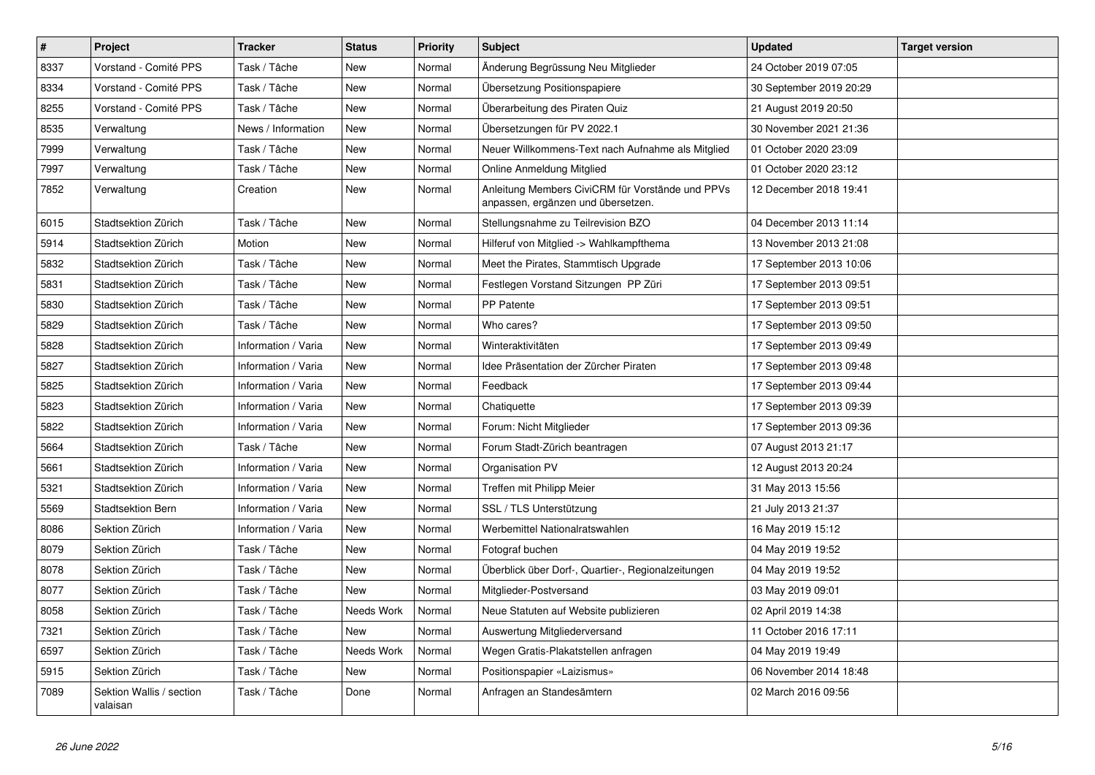| $\pmb{\#}$ | Project                              | <b>Tracker</b>      | <b>Status</b> | <b>Priority</b> | <b>Subject</b>                                                                         | <b>Updated</b>          | <b>Target version</b> |
|------------|--------------------------------------|---------------------|---------------|-----------------|----------------------------------------------------------------------------------------|-------------------------|-----------------------|
| 8337       | Vorstand - Comité PPS                | Task / Tâche        | <b>New</b>    | Normal          | Änderung Begrüssung Neu Mitglieder                                                     | 24 October 2019 07:05   |                       |
| 8334       | Vorstand - Comité PPS                | Task / Tâche        | New           | Normal          | Übersetzung Positionspapiere                                                           | 30 September 2019 20:29 |                       |
| 8255       | Vorstand - Comité PPS                | Task / Tâche        | New           | Normal          | Überarbeitung des Piraten Quiz                                                         | 21 August 2019 20:50    |                       |
| 8535       | Verwaltung                           | News / Information  | New           | Normal          | Übersetzungen für PV 2022.1                                                            | 30 November 2021 21:36  |                       |
| 7999       | Verwaltung                           | Task / Tâche        | New           | Normal          | Neuer Willkommens-Text nach Aufnahme als Mitglied                                      | 01 October 2020 23:09   |                       |
| 7997       | Verwaltung                           | Task / Tâche        | New           | Normal          | Online Anmeldung Mitglied                                                              | 01 October 2020 23:12   |                       |
| 7852       | Verwaltung                           | Creation            | New           | Normal          | Anleitung Members CiviCRM für Vorstände und PPVs<br>anpassen, ergänzen und übersetzen. | 12 December 2018 19:41  |                       |
| 6015       | Stadtsektion Zürich                  | Task / Tâche        | New           | Normal          | Stellungsnahme zu Teilrevision BZO                                                     | 04 December 2013 11:14  |                       |
| 5914       | Stadtsektion Zürich                  | Motion              | New           | Normal          | Hilferuf von Mitglied -> Wahlkampfthema                                                | 13 November 2013 21:08  |                       |
| 5832       | Stadtsektion Zürich                  | Task / Tâche        | New           | Normal          | Meet the Pirates, Stammtisch Upgrade                                                   | 17 September 2013 10:06 |                       |
| 5831       | Stadtsektion Zürich                  | Task / Tâche        | New           | Normal          | Festlegen Vorstand Sitzungen PP Züri                                                   | 17 September 2013 09:51 |                       |
| 5830       | Stadtsektion Zürich                  | Task / Tâche        | New           | Normal          | PP Patente                                                                             | 17 September 2013 09:51 |                       |
| 5829       | Stadtsektion Zürich                  | Task / Tâche        | New           | Normal          | Who cares?                                                                             | 17 September 2013 09:50 |                       |
| 5828       | Stadtsektion Zürich                  | Information / Varia | New           | Normal          | Winteraktivitäten                                                                      | 17 September 2013 09:49 |                       |
| 5827       | Stadtsektion Zürich                  | Information / Varia | <b>New</b>    | Normal          | Idee Präsentation der Zürcher Piraten                                                  | 17 September 2013 09:48 |                       |
| 5825       | Stadtsektion Zürich                  | Information / Varia | New           | Normal          | Feedback                                                                               | 17 September 2013 09:44 |                       |
| 5823       | Stadtsektion Zürich                  | Information / Varia | New           | Normal          | Chatiquette                                                                            | 17 September 2013 09:39 |                       |
| 5822       | Stadtsektion Zürich                  | Information / Varia | New           | Normal          | Forum: Nicht Mitglieder                                                                | 17 September 2013 09:36 |                       |
| 5664       | Stadtsektion Zürich                  | Task / Tâche        | New           | Normal          | Forum Stadt-Zürich beantragen                                                          | 07 August 2013 21:17    |                       |
| 5661       | Stadtsektion Zürich                  | Information / Varia | New           | Normal          | Organisation PV                                                                        | 12 August 2013 20:24    |                       |
| 5321       | Stadtsektion Zürich                  | Information / Varia | New           | Normal          | Treffen mit Philipp Meier                                                              | 31 May 2013 15:56       |                       |
| 5569       | Stadtsektion Bern                    | Information / Varia | New           | Normal          | SSL / TLS Unterstützung                                                                | 21 July 2013 21:37      |                       |
| 8086       | Sektion Zürich                       | Information / Varia | New           | Normal          | Werbemittel Nationalratswahlen                                                         | 16 May 2019 15:12       |                       |
| 8079       | Sektion Zürich                       | Task / Tâche        | New           | Normal          | Fotograf buchen                                                                        | 04 May 2019 19:52       |                       |
| 8078       | Sektion Zürich                       | Task / Tâche        | New           | Normal          | Überblick über Dorf-, Quartier-, Regionalzeitungen                                     | 04 May 2019 19:52       |                       |
| 8077       | Sektion Zürich                       | Task / Tâche        | New           | Normal          | Mitglieder-Postversand                                                                 | 03 May 2019 09:01       |                       |
| 8058       | Sektion Zürich                       | Task / Tâche        | Needs Work    | Normal          | Neue Statuten auf Website publizieren                                                  | 02 April 2019 14:38     |                       |
| 7321       | Sektion Zürich                       | Task / Tâche        | New           | Normal          | Auswertung Mitgliederversand                                                           | 11 October 2016 17:11   |                       |
| 6597       | Sektion Zürich                       | Task / Tâche        | Needs Work    | Normal          | Wegen Gratis-Plakatstellen anfragen                                                    | 04 May 2019 19:49       |                       |
| 5915       | Sektion Zürich                       | Task / Tâche        | New           | Normal          | Positionspapier «Laizismus»                                                            | 06 November 2014 18:48  |                       |
| 7089       | Sektion Wallis / section<br>valaisan | Task / Tâche        | Done          | Normal          | Anfragen an Standesämtern                                                              | 02 March 2016 09:56     |                       |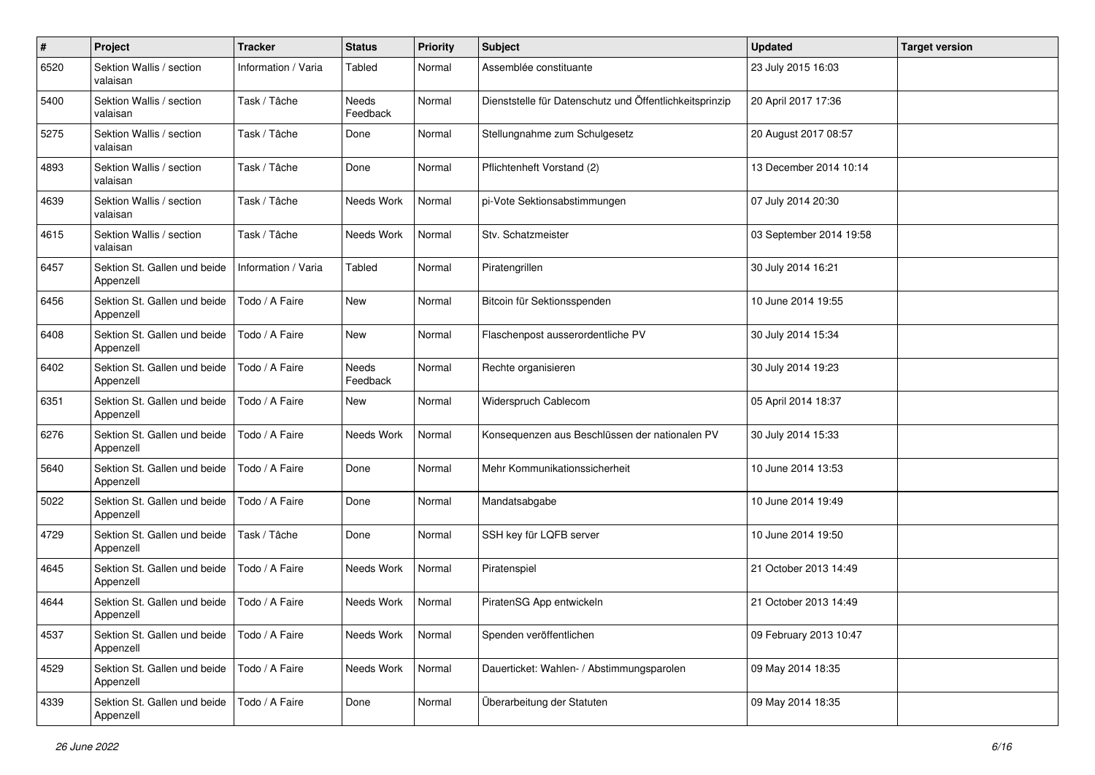| $\#$ | Project                                   | <b>Tracker</b>      | <b>Status</b>     | <b>Priority</b> | <b>Subject</b>                                          | <b>Updated</b>          | <b>Target version</b> |
|------|-------------------------------------------|---------------------|-------------------|-----------------|---------------------------------------------------------|-------------------------|-----------------------|
| 6520 | Sektion Wallis / section<br>valaisan      | Information / Varia | Tabled            | Normal          | Assemblée constituante                                  | 23 July 2015 16:03      |                       |
| 5400 | Sektion Wallis / section<br>valaisan      | Task / Tâche        | Needs<br>Feedback | Normal          | Dienststelle für Datenschutz und Öffentlichkeitsprinzip | 20 April 2017 17:36     |                       |
| 5275 | Sektion Wallis / section<br>valaisan      | Task / Tâche        | Done              | Normal          | Stellungnahme zum Schulgesetz                           | 20 August 2017 08:57    |                       |
| 4893 | Sektion Wallis / section<br>valaisan      | Task / Tâche        | Done              | Normal          | Pflichtenheft Vorstand (2)                              | 13 December 2014 10:14  |                       |
| 4639 | Sektion Wallis / section<br>valaisan      | Task / Tâche        | Needs Work        | Normal          | pi-Vote Sektionsabstimmungen                            | 07 July 2014 20:30      |                       |
| 4615 | Sektion Wallis / section<br>valaisan      | Task / Tâche        | Needs Work        | Normal          | Stv. Schatzmeister                                      | 03 September 2014 19:58 |                       |
| 6457 | Sektion St. Gallen und beide<br>Appenzell | Information / Varia | Tabled            | Normal          | Piratengrillen                                          | 30 July 2014 16:21      |                       |
| 6456 | Sektion St. Gallen und beide<br>Appenzell | Todo / A Faire      | New               | Normal          | Bitcoin für Sektionsspenden                             | 10 June 2014 19:55      |                       |
| 6408 | Sektion St. Gallen und beide<br>Appenzell | Todo / A Faire      | New               | Normal          | Flaschenpost ausserordentliche PV                       | 30 July 2014 15:34      |                       |
| 6402 | Sektion St. Gallen und beide<br>Appenzell | Todo / A Faire      | Needs<br>Feedback | Normal          | Rechte organisieren                                     | 30 July 2014 19:23      |                       |
| 6351 | Sektion St. Gallen und beide<br>Appenzell | Todo / A Faire      | <b>New</b>        | Normal          | Widerspruch Cablecom                                    | 05 April 2014 18:37     |                       |
| 6276 | Sektion St. Gallen und beide<br>Appenzell | Todo / A Faire      | Needs Work        | Normal          | Konsequenzen aus Beschlüssen der nationalen PV          | 30 July 2014 15:33      |                       |
| 5640 | Sektion St. Gallen und beide<br>Appenzell | Todo / A Faire      | Done              | Normal          | Mehr Kommunikationssicherheit                           | 10 June 2014 13:53      |                       |
| 5022 | Sektion St. Gallen und beide<br>Appenzell | Todo / A Faire      | Done              | Normal          | Mandatsabgabe                                           | 10 June 2014 19:49      |                       |
| 4729 | Sektion St. Gallen und beide<br>Appenzell | Task / Tâche        | Done              | Normal          | SSH key für LQFB server                                 | 10 June 2014 19:50      |                       |
| 4645 | Sektion St. Gallen und beide<br>Appenzell | Todo / A Faire      | Needs Work        | Normal          | Piratenspiel                                            | 21 October 2013 14:49   |                       |
| 4644 | Sektion St. Gallen und beide<br>Appenzell | Todo / A Faire      | Needs Work        | Normal          | PiratenSG App entwickeln                                | 21 October 2013 14:49   |                       |
| 4537 | Sektion St. Gallen und beide<br>Appenzell | Todo / A Faire      | Needs Work        | Normal          | Spenden veröffentlichen                                 | 09 February 2013 10:47  |                       |
| 4529 | Sektion St. Gallen und beide<br>Appenzell | Todo / A Faire      | Needs Work        | Normal          | Dauerticket: Wahlen- / Abstimmungsparolen               | 09 May 2014 18:35       |                       |
| 4339 | Sektion St. Gallen und beide<br>Appenzell | Todo / A Faire      | Done              | Normal          | Überarbeitung der Statuten                              | 09 May 2014 18:35       |                       |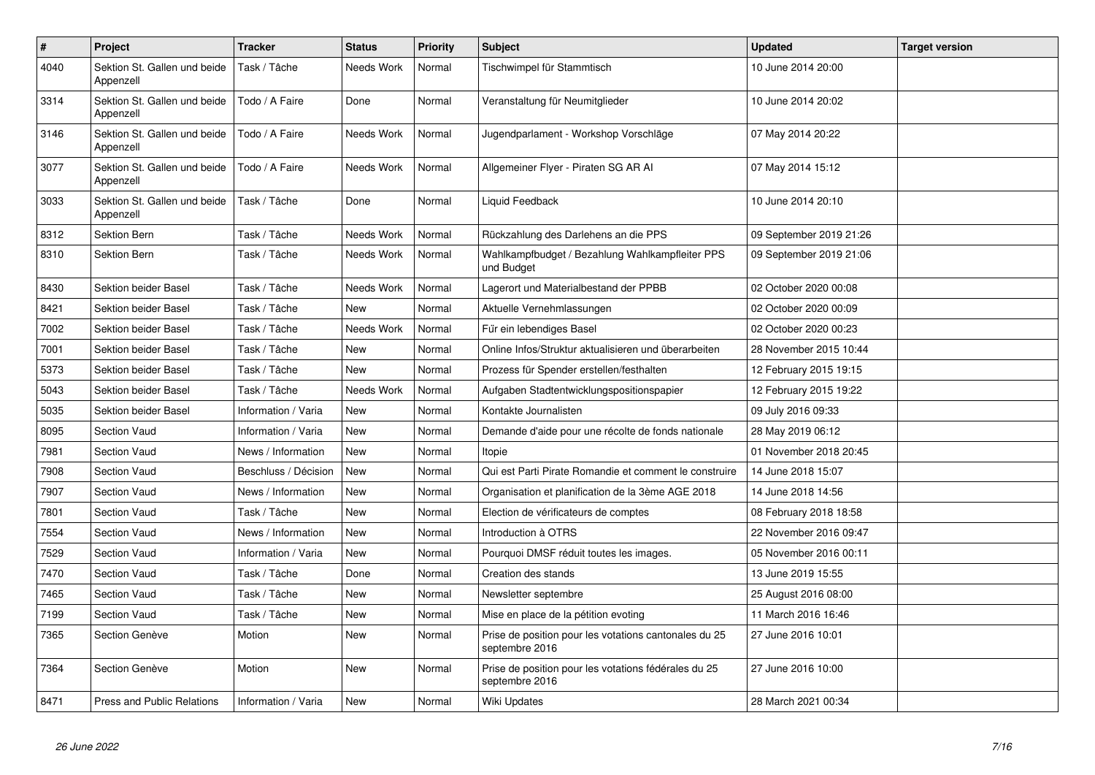| $\pmb{\#}$ | Project                                   | <b>Tracker</b>       | <b>Status</b>     | <b>Priority</b> | <b>Subject</b>                                                          | <b>Updated</b>          | <b>Target version</b> |
|------------|-------------------------------------------|----------------------|-------------------|-----------------|-------------------------------------------------------------------------|-------------------------|-----------------------|
| 4040       | Sektion St. Gallen und beide<br>Appenzell | Task / Tâche         | <b>Needs Work</b> | Normal          | Tischwimpel für Stammtisch                                              | 10 June 2014 20:00      |                       |
| 3314       | Sektion St. Gallen und beide<br>Appenzell | Todo / A Faire       | Done              | Normal          | Veranstaltung für Neumitglieder                                         | 10 June 2014 20:02      |                       |
| 3146       | Sektion St. Gallen und beide<br>Appenzell | Todo / A Faire       | Needs Work        | Normal          | Jugendparlament - Workshop Vorschläge                                   | 07 May 2014 20:22       |                       |
| 3077       | Sektion St. Gallen und beide<br>Appenzell | Todo / A Faire       | Needs Work        | Normal          | Allgemeiner Flyer - Piraten SG AR Al                                    | 07 May 2014 15:12       |                       |
| 3033       | Sektion St. Gallen und beide<br>Appenzell | Task / Tâche         | Done              | Normal          | Liquid Feedback                                                         | 10 June 2014 20:10      |                       |
| 8312       | Sektion Bern                              | Task / Tâche         | Needs Work        | Normal          | Rückzahlung des Darlehens an die PPS                                    | 09 September 2019 21:26 |                       |
| 8310       | <b>Sektion Bern</b>                       | Task / Tâche         | Needs Work        | Normal          | Wahlkampfbudget / Bezahlung Wahlkampfleiter PPS<br>und Budget           | 09 September 2019 21:06 |                       |
| 8430       | Sektion beider Basel                      | Task / Tâche         | Needs Work        | Normal          | Lagerort und Materialbestand der PPBB                                   | 02 October 2020 00:08   |                       |
| 8421       | <b>Sektion beider Basel</b>               | Task / Tâche         | New               | Normal          | Aktuelle Vernehmlassungen                                               | 02 October 2020 00:09   |                       |
| 7002       | Sektion beider Basel                      | Task / Tâche         | Needs Work        | Normal          | Für ein lebendiges Basel                                                | 02 October 2020 00:23   |                       |
| 7001       | Sektion beider Basel                      | Task / Tâche         | <b>New</b>        | Normal          | Online Infos/Struktur aktualisieren und überarbeiten                    | 28 November 2015 10:44  |                       |
| 5373       | Sektion beider Basel                      | Task / Tâche         | <b>New</b>        | Normal          | Prozess für Spender erstellen/festhalten                                | 12 February 2015 19:15  |                       |
| 5043       | Sektion beider Basel                      | Task / Tâche         | Needs Work        | Normal          | Aufgaben Stadtentwicklungspositionspapier                               | 12 February 2015 19:22  |                       |
| 5035       | <b>Sektion beider Basel</b>               | Information / Varia  | <b>New</b>        | Normal          | Kontakte Journalisten                                                   | 09 July 2016 09:33      |                       |
| 8095       | <b>Section Vaud</b>                       | Information / Varia  | <b>New</b>        | Normal          | Demande d'aide pour une récolte de fonds nationale                      | 28 May 2019 06:12       |                       |
| 7981       | <b>Section Vaud</b>                       | News / Information   | <b>New</b>        | Normal          | Itopie                                                                  | 01 November 2018 20:45  |                       |
| 7908       | Section Vaud                              | Beschluss / Décision | <b>New</b>        | Normal          | Qui est Parti Pirate Romandie et comment le construire                  | 14 June 2018 15:07      |                       |
| 7907       | <b>Section Vaud</b>                       | News / Information   | New               | Normal          | Organisation et planification de la 3ème AGE 2018                       | 14 June 2018 14:56      |                       |
| 7801       | <b>Section Vaud</b>                       | Task / Tâche         | <b>New</b>        | Normal          | Election de vérificateurs de comptes                                    | 08 February 2018 18:58  |                       |
| 7554       | Section Vaud                              | News / Information   | <b>New</b>        | Normal          | Introduction à OTRS                                                     | 22 November 2016 09:47  |                       |
| 7529       | Section Vaud                              | Information / Varia  | New               | Normal          | Pourquoi DMSF réduit toutes les images.                                 | 05 November 2016 00:11  |                       |
| 7470       | <b>Section Vaud</b>                       | Task / Tâche         | Done              | Normal          | Creation des stands                                                     | 13 June 2019 15:55      |                       |
| 7465       | <b>Section Vaud</b>                       | Task / Tâche         | <b>New</b>        | Normal          | Newsletter septembre                                                    | 25 August 2016 08:00    |                       |
| 7199       | Section Vaud                              | Task / Tâche         | <b>New</b>        | Normal          | Mise en place de la pétition evoting                                    | 11 March 2016 16:46     |                       |
| 7365       | Section Genève                            | Motion               | New               | Normal          | Prise de position pour les votations cantonales du 25<br>septembre 2016 | 27 June 2016 10:01      |                       |
| 7364       | Section Genève                            | Motion               | <b>New</b>        | Normal          | Prise de position pour les votations fédérales du 25<br>septembre 2016  | 27 June 2016 10:00      |                       |
| 8471       | <b>Press and Public Relations</b>         | Information / Varia  | <b>New</b>        | Normal          | <b>Wiki Updates</b>                                                     | 28 March 2021 00:34     |                       |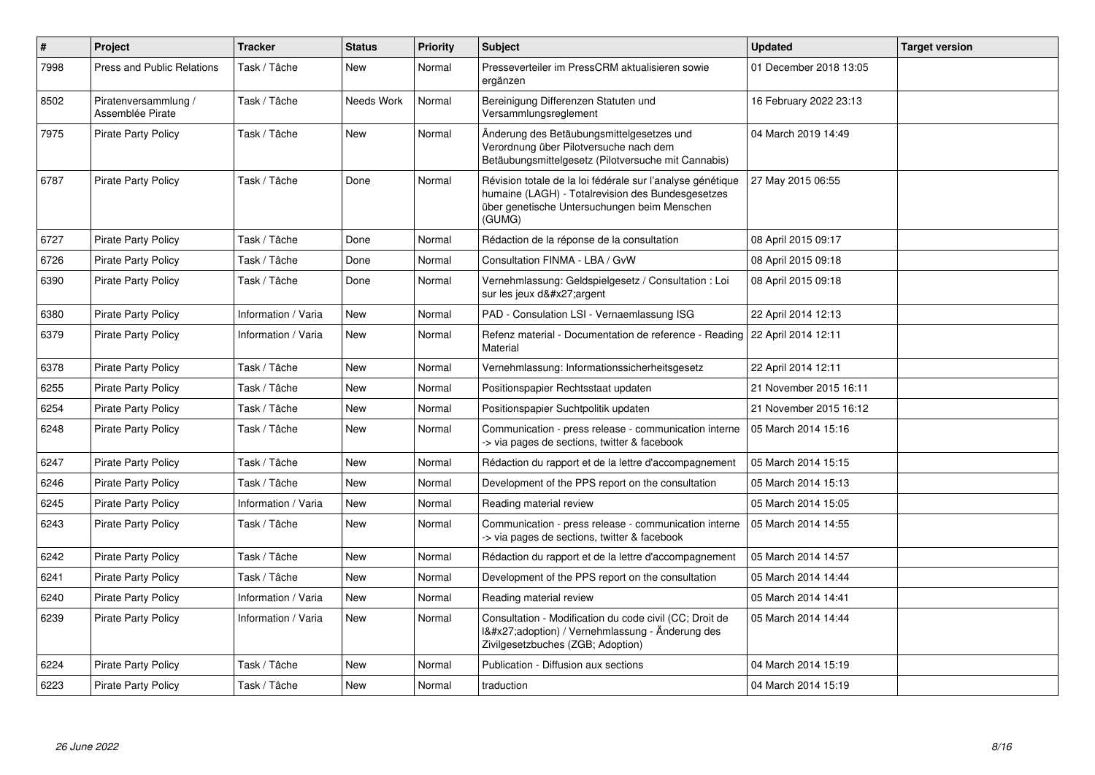| $\sharp$ | Project                                  | <b>Tracker</b>      | <b>Status</b> | Priority | <b>Subject</b>                                                                                                                                                            | <b>Updated</b>         | <b>Target version</b> |
|----------|------------------------------------------|---------------------|---------------|----------|---------------------------------------------------------------------------------------------------------------------------------------------------------------------------|------------------------|-----------------------|
| 7998     | <b>Press and Public Relations</b>        | Task / Tâche        | New           | Normal   | Presseverteiler im PressCRM aktualisieren sowie<br>ergänzen                                                                                                               | 01 December 2018 13:05 |                       |
| 8502     | Piratenversammlung /<br>Assemblée Pirate | Task / Tâche        | Needs Work    | Normal   | Bereinigung Differenzen Statuten und<br>Versammlungsreglement                                                                                                             | 16 February 2022 23:13 |                       |
| 7975     | <b>Pirate Party Policy</b>               | Task / Tâche        | New           | Normal   | Änderung des Betäubungsmittelgesetzes und<br>Verordnung über Pilotversuche nach dem<br>Betäubungsmittelgesetz (Pilotversuche mit Cannabis)                                | 04 March 2019 14:49    |                       |
| 6787     | <b>Pirate Party Policy</b>               | Task / Tâche        | Done          | Normal   | Révision totale de la loi fédérale sur l'analyse génétique<br>humaine (LAGH) - Totalrevision des Bundesgesetzes<br>über genetische Untersuchungen beim Menschen<br>(GUMG) | 27 May 2015 06:55      |                       |
| 6727     | <b>Pirate Party Policy</b>               | Task / Tâche        | Done          | Normal   | Rédaction de la réponse de la consultation                                                                                                                                | 08 April 2015 09:17    |                       |
| 6726     | <b>Pirate Party Policy</b>               | Task / Tâche        | Done          | Normal   | Consultation FINMA - LBA / GvW                                                                                                                                            | 08 April 2015 09:18    |                       |
| 6390     | <b>Pirate Party Policy</b>               | Task / Tâche        | Done          | Normal   | Vernehmlassung: Geldspielgesetz / Consultation : Loi<br>sur les jeux d'argent                                                                                             | 08 April 2015 09:18    |                       |
| 6380     | <b>Pirate Party Policy</b>               | Information / Varia | New           | Normal   | PAD - Consulation LSI - Vernaemlassung ISG                                                                                                                                | 22 April 2014 12:13    |                       |
| 6379     | <b>Pirate Party Policy</b>               | Information / Varia | New           | Normal   | Refenz material - Documentation de reference - Reading   22 April 2014 12:11<br>Material                                                                                  |                        |                       |
| 6378     | <b>Pirate Party Policy</b>               | Task / Tâche        | <b>New</b>    | Normal   | Vernehmlassung: Informationssicherheitsgesetz                                                                                                                             | 22 April 2014 12:11    |                       |
| 6255     | <b>Pirate Party Policy</b>               | Task / Tâche        | <b>New</b>    | Normal   | Positionspapier Rechtsstaat updaten                                                                                                                                       | 21 November 2015 16:11 |                       |
| 6254     | <b>Pirate Party Policy</b>               | Task / Tâche        | New           | Normal   | Positionspapier Suchtpolitik updaten                                                                                                                                      | 21 November 2015 16:12 |                       |
| 6248     | <b>Pirate Party Policy</b>               | Task / Tâche        | New           | Normal   | Communication - press release - communication interne<br>> via pages de sections, twitter & facebook                                                                      | 05 March 2014 15:16    |                       |
| 6247     | <b>Pirate Party Policy</b>               | Task / Tâche        | New           | Normal   | Rédaction du rapport et de la lettre d'accompagnement                                                                                                                     | 05 March 2014 15:15    |                       |
| 6246     | <b>Pirate Party Policy</b>               | Task / Tâche        | <b>New</b>    | Normal   | Development of the PPS report on the consultation                                                                                                                         | 05 March 2014 15:13    |                       |
| 6245     | Pirate Party Policy                      | Information / Varia | <b>New</b>    | Normal   | Reading material review                                                                                                                                                   | 05 March 2014 15:05    |                       |
| 6243     | Pirate Party Policy                      | Task / Tâche        | New           | Normal   | Communication - press release - communication interne<br>> via pages de sections, twitter & facebook                                                                      | 05 March 2014 14:55    |                       |
| 6242     | <b>Pirate Party Policy</b>               | Task / Tâche        | <b>New</b>    | Normal   | Rédaction du rapport et de la lettre d'accompagnement                                                                                                                     | 05 March 2014 14:57    |                       |
| 6241     | <b>Pirate Party Policy</b>               | Task / Tâche        | New           | Normal   | Development of the PPS report on the consultation                                                                                                                         | 05 March 2014 14:44    |                       |
| 6240     | Pirate Party Policy                      | Information / Varia | <b>New</b>    | Normal   | Reading material review                                                                                                                                                   | 05 March 2014 14:41    |                       |
| 6239     | <b>Pirate Party Policy</b>               | Information / Varia | New           | Normal   | Consultation - Modification du code civil (CC; Droit de<br>1'adoption) / Vernehmlassung - Änderung des<br>Zivilgesetzbuches (ZGB; Adoption)                               | 05 March 2014 14:44    |                       |
| 6224     | Pirate Party Policy                      | Task / Tâche        | New           | Normal   | Publication - Diffusion aux sections                                                                                                                                      | 04 March 2014 15:19    |                       |
| 6223     | <b>Pirate Party Policy</b>               | Task / Tâche        | <b>New</b>    | Normal   | traduction                                                                                                                                                                | 04 March 2014 15:19    |                       |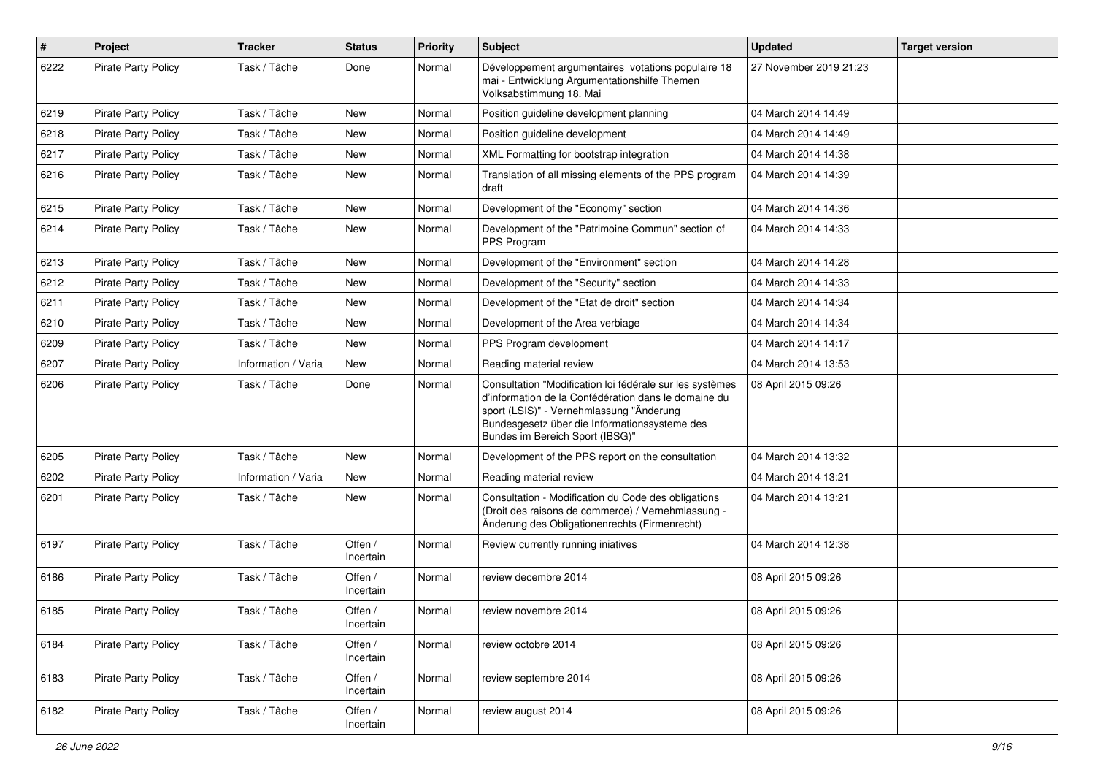| $\pmb{\#}$ | Project                    | <b>Tracker</b>      | <b>Status</b>        | <b>Priority</b> | Subject                                                                                                                                                                                                                                          | <b>Updated</b>         | <b>Target version</b> |
|------------|----------------------------|---------------------|----------------------|-----------------|--------------------------------------------------------------------------------------------------------------------------------------------------------------------------------------------------------------------------------------------------|------------------------|-----------------------|
| 6222       | Pirate Party Policy        | Task / Tâche        | Done                 | Normal          | Développement argumentaires votations populaire 18<br>mai - Entwicklung Argumentationshilfe Themen<br>Volksabstimmung 18. Mai                                                                                                                    | 27 November 2019 21:23 |                       |
| 6219       | <b>Pirate Party Policy</b> | Task / Tâche        | <b>New</b>           | Normal          | Position guideline development planning                                                                                                                                                                                                          | 04 March 2014 14:49    |                       |
| 6218       | <b>Pirate Party Policy</b> | Task / Tâche        | <b>New</b>           | Normal          | Position guideline development                                                                                                                                                                                                                   | 04 March 2014 14:49    |                       |
| 6217       | <b>Pirate Party Policy</b> | Task / Tâche        | New                  | Normal          | XML Formatting for bootstrap integration                                                                                                                                                                                                         | 04 March 2014 14:38    |                       |
| 6216       | <b>Pirate Party Policy</b> | Task / Tâche        | New                  | Normal          | Translation of all missing elements of the PPS program<br>draft                                                                                                                                                                                  | 04 March 2014 14:39    |                       |
| 6215       | <b>Pirate Party Policy</b> | Task / Tâche        | New                  | Normal          | Development of the "Economy" section                                                                                                                                                                                                             | 04 March 2014 14:36    |                       |
| 6214       | <b>Pirate Party Policy</b> | Task / Tâche        | <b>New</b>           | Normal          | Development of the "Patrimoine Commun" section of<br>PPS Program                                                                                                                                                                                 | 04 March 2014 14:33    |                       |
| 6213       | Pirate Party Policy        | Task / Tâche        | <b>New</b>           | Normal          | Development of the "Environment" section                                                                                                                                                                                                         | 04 March 2014 14:28    |                       |
| 6212       | <b>Pirate Party Policy</b> | Task / Tâche        | <b>New</b>           | Normal          | Development of the "Security" section                                                                                                                                                                                                            | 04 March 2014 14:33    |                       |
| 6211       | <b>Pirate Party Policy</b> | Task / Tâche        | New                  | Normal          | Development of the "Etat de droit" section                                                                                                                                                                                                       | 04 March 2014 14:34    |                       |
| 6210       | Pirate Party Policy        | Task / Tâche        | New                  | Normal          | Development of the Area verbiage                                                                                                                                                                                                                 | 04 March 2014 14:34    |                       |
| 6209       | <b>Pirate Party Policy</b> | Task / Tâche        | New                  | Normal          | PPS Program development                                                                                                                                                                                                                          | 04 March 2014 14:17    |                       |
| 6207       | Pirate Party Policy        | Information / Varia | New                  | Normal          | Reading material review                                                                                                                                                                                                                          | 04 March 2014 13:53    |                       |
| 6206       | <b>Pirate Party Policy</b> | Task / Tâche        | Done                 | Normal          | Consultation "Modification loi fédérale sur les systèmes<br>d'information de la Confédération dans le domaine du<br>sport (LSIS)" - Vernehmlassung "Änderung<br>Bundesgesetz über die Informationssysteme des<br>Bundes im Bereich Sport (IBSG)" | 08 April 2015 09:26    |                       |
| 6205       | Pirate Party Policy        | Task / Tâche        | New                  | Normal          | Development of the PPS report on the consultation                                                                                                                                                                                                | 04 March 2014 13:32    |                       |
| 6202       | <b>Pirate Party Policy</b> | Information / Varia | <b>New</b>           | Normal          | Reading material review                                                                                                                                                                                                                          | 04 March 2014 13:21    |                       |
| 6201       | <b>Pirate Party Policy</b> | Task / Tâche        | New                  | Normal          | Consultation - Modification du Code des obligations<br>(Droit des raisons de commerce) / Vernehmlassung -<br>Änderung des Obligationenrechts (Firmenrecht)                                                                                       | 04 March 2014 13:21    |                       |
| 6197       | <b>Pirate Party Policy</b> | Task / Tâche        | Offen /<br>Incertain | Normal          | Review currently running iniatives                                                                                                                                                                                                               | 04 March 2014 12:38    |                       |
| 6186       | <b>Pirate Party Policy</b> | Task / Tâche        | Offen /<br>Incertain | Normal          | review decembre 2014                                                                                                                                                                                                                             | 08 April 2015 09:26    |                       |
| 6185       | <b>Pirate Party Policy</b> | Task / Tâche        | Offen /<br>Incertain | Normal          | review novembre 2014                                                                                                                                                                                                                             | 08 April 2015 09:26    |                       |
| 6184       | <b>Pirate Party Policy</b> | Task / Tâche        | Offen /<br>Incertain | Normal          | review octobre 2014                                                                                                                                                                                                                              | 08 April 2015 09:26    |                       |
| 6183       | Pirate Party Policy        | Task / Tâche        | Offen /<br>Incertain | Normal          | review septembre 2014                                                                                                                                                                                                                            | 08 April 2015 09:26    |                       |
| 6182       | Pirate Party Policy        | Task / Tâche        | Offen /<br>Incertain | Normal          | review august 2014                                                                                                                                                                                                                               | 08 April 2015 09:26    |                       |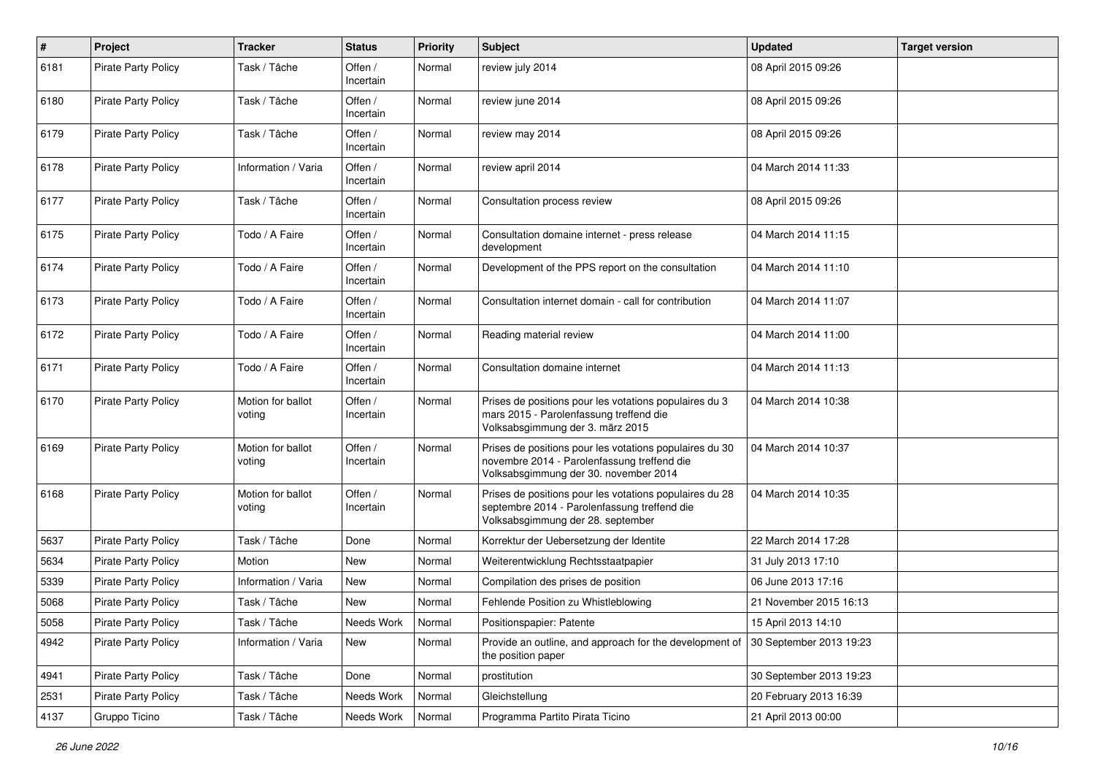| $\#$ | Project                    | <b>Tracker</b>              | <b>Status</b>        | <b>Priority</b> | <b>Subject</b>                                                                                                                                  | <b>Updated</b>          | <b>Target version</b> |
|------|----------------------------|-----------------------------|----------------------|-----------------|-------------------------------------------------------------------------------------------------------------------------------------------------|-------------------------|-----------------------|
| 6181 | Pirate Party Policy        | Task / Tâche                | Offen /<br>Incertain | Normal          | review july 2014                                                                                                                                | 08 April 2015 09:26     |                       |
| 6180 | <b>Pirate Party Policy</b> | Task / Tâche                | Offen /<br>Incertain | Normal          | review june 2014                                                                                                                                | 08 April 2015 09:26     |                       |
| 6179 | <b>Pirate Party Policy</b> | Task / Tâche                | Offen /<br>Incertain | Normal          | review may 2014                                                                                                                                 | 08 April 2015 09:26     |                       |
| 6178 | <b>Pirate Party Policy</b> | Information / Varia         | Offen /<br>Incertain | Normal          | review april 2014                                                                                                                               | 04 March 2014 11:33     |                       |
| 6177 | <b>Pirate Party Policy</b> | Task / Tâche                | Offen /<br>Incertain | Normal          | Consultation process review                                                                                                                     | 08 April 2015 09:26     |                       |
| 6175 | <b>Pirate Party Policy</b> | Todo / A Faire              | Offen /<br>Incertain | Normal          | Consultation domaine internet - press release<br>development                                                                                    | 04 March 2014 11:15     |                       |
| 6174 | <b>Pirate Party Policy</b> | Todo / A Faire              | Offen /<br>Incertain | Normal          | Development of the PPS report on the consultation                                                                                               | 04 March 2014 11:10     |                       |
| 6173 | <b>Pirate Party Policy</b> | Todo / A Faire              | Offen /<br>Incertain | Normal          | Consultation internet domain - call for contribution                                                                                            | 04 March 2014 11:07     |                       |
| 6172 | <b>Pirate Party Policy</b> | Todo / A Faire              | Offen /<br>Incertain | Normal          | Reading material review                                                                                                                         | 04 March 2014 11:00     |                       |
| 6171 | <b>Pirate Party Policy</b> | Todo / A Faire              | Offen /<br>Incertain | Normal          | Consultation domaine internet                                                                                                                   | 04 March 2014 11:13     |                       |
| 6170 | <b>Pirate Party Policy</b> | Motion for ballot<br>voting | Offen /<br>Incertain | Normal          | Prises de positions pour les votations populaires du 3<br>mars 2015 - Parolenfassung treffend die<br>Volksabsgimmung der 3. märz 2015           | 04 March 2014 10:38     |                       |
| 6169 | <b>Pirate Party Policy</b> | Motion for ballot<br>voting | Offen /<br>Incertain | Normal          | Prises de positions pour les votations populaires du 30<br>novembre 2014 - Parolenfassung treffend die<br>Volksabsgimmung der 30. november 2014 | 04 March 2014 10:37     |                       |
| 6168 | <b>Pirate Party Policy</b> | Motion for ballot<br>voting | Offen /<br>Incertain | Normal          | Prises de positions pour les votations populaires du 28<br>septembre 2014 - Parolenfassung treffend die<br>Volksabsgimmung der 28. september    | 04 March 2014 10:35     |                       |
| 5637 | <b>Pirate Party Policy</b> | Task / Tâche                | Done                 | Normal          | Korrektur der Uebersetzung der Identite                                                                                                         | 22 March 2014 17:28     |                       |
| 5634 | <b>Pirate Party Policy</b> | Motion                      | New                  | Normal          | Weiterentwicklung Rechtsstaatpapier                                                                                                             | 31 July 2013 17:10      |                       |
| 5339 | <b>Pirate Party Policy</b> | Information / Varia         | New                  | Normal          | Compilation des prises de position                                                                                                              | 06 June 2013 17:16      |                       |
| 5068 | Pirate Party Policy        | Task / Tâche                | New                  | Normal          | Fehlende Position zu Whistleblowing                                                                                                             | 21 November 2015 16:13  |                       |
| 5058 | Pirate Party Policy        | Task / Tâche                | Needs Work           | Normal          | Positionspapier: Patente                                                                                                                        | 15 April 2013 14:10     |                       |
| 4942 | <b>Pirate Party Policy</b> | Information / Varia         | New                  | Normal          | Provide an outline, and approach for the development of 30 September 2013 19:23<br>the position paper                                           |                         |                       |
| 4941 | Pirate Party Policy        | Task / Tâche                | Done                 | Normal          | prostitution                                                                                                                                    | 30 September 2013 19:23 |                       |
| 2531 | Pirate Party Policy        | Task / Tâche                | Needs Work           | Normal          | Gleichstellung                                                                                                                                  | 20 February 2013 16:39  |                       |
| 4137 | Gruppo Ticino              | Task / Tâche                | Needs Work           | Normal          | Programma Partito Pirata Ticino                                                                                                                 | 21 April 2013 00:00     |                       |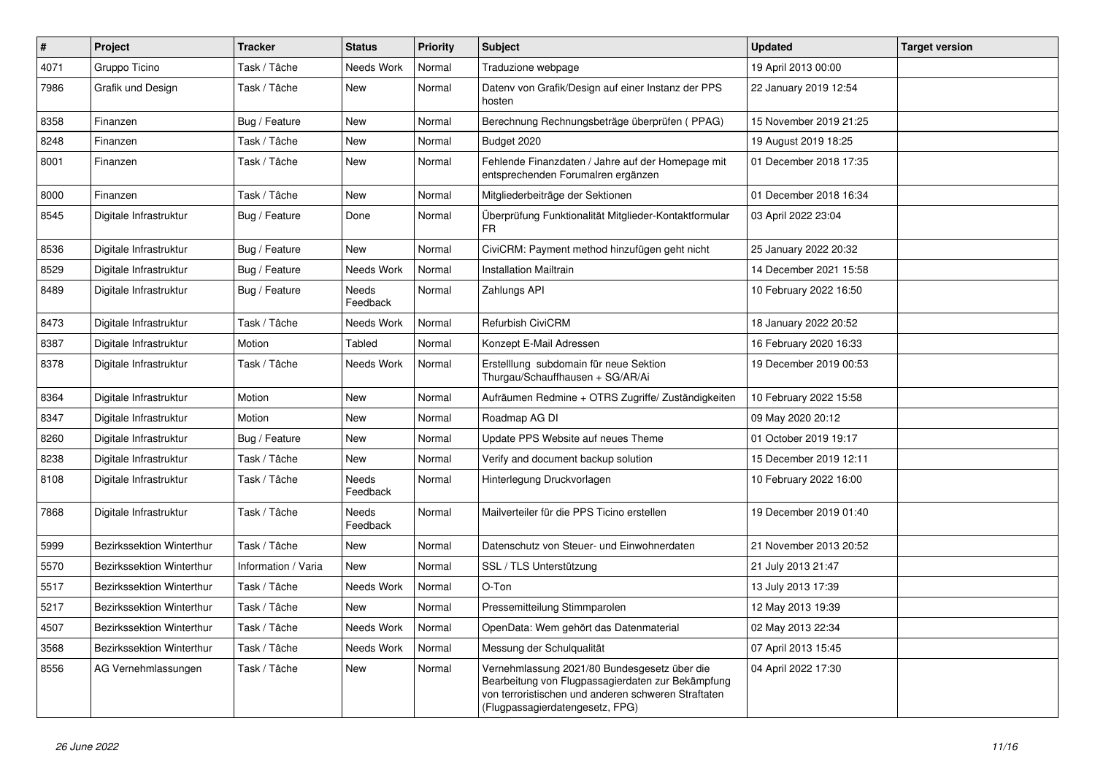| $\pmb{\#}$ | Project                   | <b>Tracker</b>      | <b>Status</b>     | <b>Priority</b> | <b>Subject</b>                                                                                                                                                                              | <b>Updated</b>         | <b>Target version</b> |
|------------|---------------------------|---------------------|-------------------|-----------------|---------------------------------------------------------------------------------------------------------------------------------------------------------------------------------------------|------------------------|-----------------------|
| 4071       | Gruppo Ticino             | Task / Tâche        | Needs Work        | Normal          | Traduzione webpage                                                                                                                                                                          | 19 April 2013 00:00    |                       |
| 7986       | Grafik und Design         | Task / Tâche        | <b>New</b>        | Normal          | Dateny von Grafik/Design auf einer Instanz der PPS<br>hosten                                                                                                                                | 22 January 2019 12:54  |                       |
| 8358       | Finanzen                  | Bug / Feature       | New               | Normal          | Berechnung Rechnungsbeträge überprüfen (PPAG)                                                                                                                                               | 15 November 2019 21:25 |                       |
| 8248       | Finanzen                  | Task / Tâche        | <b>New</b>        | Normal          | Budget 2020                                                                                                                                                                                 | 19 August 2019 18:25   |                       |
| 8001       | Finanzen                  | Task / Tâche        | <b>New</b>        | Normal          | Fehlende Finanzdaten / Jahre auf der Homepage mit<br>entsprechenden Forumalren ergänzen                                                                                                     | 01 December 2018 17:35 |                       |
| 8000       | Finanzen                  | Task / Tâche        | New               | Normal          | Mitgliederbeiträge der Sektionen                                                                                                                                                            | 01 December 2018 16:34 |                       |
| 8545       | Digitale Infrastruktur    | Bug / Feature       | Done              | Normal          | Überprüfung Funktionalität Mitglieder-Kontaktformular<br>FR.                                                                                                                                | 03 April 2022 23:04    |                       |
| 8536       | Digitale Infrastruktur    | Bug / Feature       | <b>New</b>        | Normal          | CiviCRM: Payment method hinzufügen geht nicht                                                                                                                                               | 25 January 2022 20:32  |                       |
| 8529       | Digitale Infrastruktur    | Bug / Feature       | Needs Work        | Normal          | <b>Installation Mailtrain</b>                                                                                                                                                               | 14 December 2021 15:58 |                       |
| 8489       | Digitale Infrastruktur    | Bug / Feature       | Needs<br>Feedback | Normal          | Zahlungs API                                                                                                                                                                                | 10 February 2022 16:50 |                       |
| 8473       | Digitale Infrastruktur    | Task / Tâche        | Needs Work        | Normal          | Refurbish CiviCRM                                                                                                                                                                           | 18 January 2022 20:52  |                       |
| 8387       | Digitale Infrastruktur    | Motion              | Tabled            | Normal          | Konzept E-Mail Adressen                                                                                                                                                                     | 16 February 2020 16:33 |                       |
| 8378       | Digitale Infrastruktur    | Task / Tâche        | Needs Work        | Normal          | Erstelllung subdomain für neue Sektion<br>Thurgau/Schauffhausen + SG/AR/Ai                                                                                                                  | 19 December 2019 00:53 |                       |
| 8364       | Digitale Infrastruktur    | Motion              | New               | Normal          | Aufräumen Redmine + OTRS Zugriffe/ Zuständigkeiten                                                                                                                                          | 10 February 2022 15:58 |                       |
| 8347       | Digitale Infrastruktur    | Motion              | New               | Normal          | Roadmap AG DI                                                                                                                                                                               | 09 May 2020 20:12      |                       |
| 8260       | Digitale Infrastruktur    | Bug / Feature       | New               | Normal          | Update PPS Website auf neues Theme                                                                                                                                                          | 01 October 2019 19:17  |                       |
| 8238       | Digitale Infrastruktur    | Task / Tâche        | New               | Normal          | Verify and document backup solution                                                                                                                                                         | 15 December 2019 12:11 |                       |
| 8108       | Digitale Infrastruktur    | Task / Tâche        | Needs<br>Feedback | Normal          | Hinterlegung Druckvorlagen                                                                                                                                                                  | 10 February 2022 16:00 |                       |
| 7868       | Digitale Infrastruktur    | Task / Tâche        | Needs<br>Feedback | Normal          | Mailverteiler für die PPS Ticino erstellen                                                                                                                                                  | 19 December 2019 01:40 |                       |
| 5999       | Bezirkssektion Winterthur | Task / Tâche        | <b>New</b>        | Normal          | Datenschutz von Steuer- und Einwohnerdaten                                                                                                                                                  | 21 November 2013 20:52 |                       |
| 5570       | Bezirkssektion Winterthur | Information / Varia | New               | Normal          | SSL / TLS Unterstützung                                                                                                                                                                     | 21 July 2013 21:47     |                       |
| 5517       | Bezirkssektion Winterthur | Task / Tâche        | Needs Work        | Normal          | O-Ton                                                                                                                                                                                       | 13 July 2013 17:39     |                       |
| 5217       | Bezirkssektion Winterthur | Task / Tâche        | <b>New</b>        | Normal          | Pressemitteilung Stimmparolen                                                                                                                                                               | 12 May 2013 19:39      |                       |
| 4507       | Bezirkssektion Winterthur | Task / Tâche        | Needs Work        | Normal          | OpenData: Wem gehört das Datenmaterial                                                                                                                                                      | 02 May 2013 22:34      |                       |
| 3568       | Bezirkssektion Winterthur | Task / Tâche        | Needs Work        | Normal          | Messung der Schulqualität                                                                                                                                                                   | 07 April 2013 15:45    |                       |
| 8556       | AG Vernehmlassungen       | Task / Tâche        | New               | Normal          | Vernehmlassung 2021/80 Bundesgesetz über die<br>Bearbeitung von Flugpassagierdaten zur Bekämpfung<br>von terroristischen und anderen schweren Straftaten<br>(Flugpassagierdatengesetz, FPG) | 04 April 2022 17:30    |                       |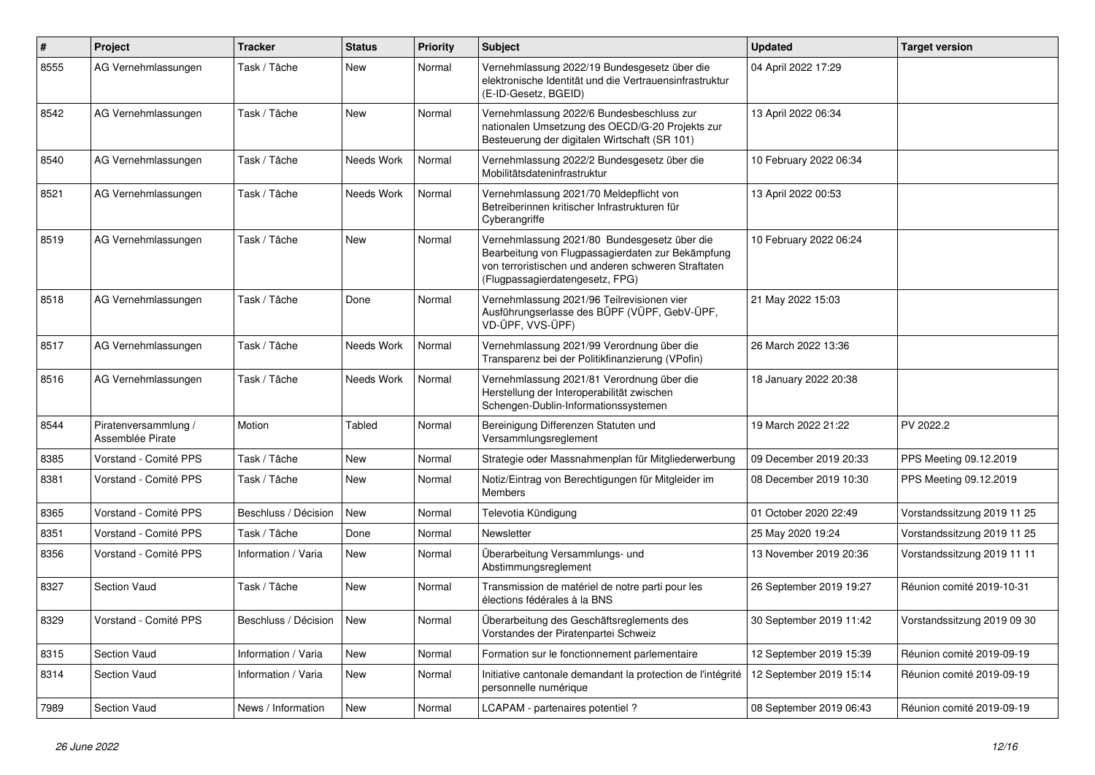| $\#$ | Project                                  | <b>Tracker</b>             | <b>Status</b> | <b>Priority</b> | <b>Subject</b>                                                                                                                                                                              | <b>Updated</b>          | <b>Target version</b>       |
|------|------------------------------------------|----------------------------|---------------|-----------------|---------------------------------------------------------------------------------------------------------------------------------------------------------------------------------------------|-------------------------|-----------------------------|
| 8555 | AG Vernehmlassungen                      | Task / Tâche               | New           | Normal          | Vernehmlassung 2022/19 Bundesgesetz über die<br>elektronische Identität und die Vertrauensinfrastruktur<br>(E-ID-Gesetz, BGEID)                                                             | 04 April 2022 17:29     |                             |
| 8542 | AG Vernehmlassungen                      | Task / Tâche               | New           | Normal          | Vernehmlassung 2022/6 Bundesbeschluss zur<br>nationalen Umsetzung des OECD/G-20 Projekts zur<br>Besteuerung der digitalen Wirtschaft (SR 101)                                               | 13 April 2022 06:34     |                             |
| 8540 | AG Vernehmlassungen                      | Task / Tâche               | Needs Work    | Normal          | Vernehmlassung 2022/2 Bundesgesetz über die<br>Mobilitätsdateninfrastruktur                                                                                                                 | 10 February 2022 06:34  |                             |
| 8521 | AG Vernehmlassungen                      | Task / Tâche               | Needs Work    | Normal          | Vernehmlassung 2021/70 Meldepflicht von<br>Betreiberinnen kritischer Infrastrukturen für<br>Cyberangriffe                                                                                   | 13 April 2022 00:53     |                             |
| 8519 | AG Vernehmlassungen                      | Task / Tâche               | <b>New</b>    | Normal          | Vernehmlassung 2021/80 Bundesgesetz über die<br>Bearbeitung von Flugpassagierdaten zur Bekämpfung<br>von terroristischen und anderen schweren Straftaten<br>(Flugpassagierdatengesetz, FPG) | 10 February 2022 06:24  |                             |
| 8518 | AG Vernehmlassungen                      | Task / Tâche               | Done          | Normal          | Vernehmlassung 2021/96 Teilrevisionen vier<br>Ausführungserlasse des BÜPF (VÜPF, GebV-ÜPF,<br>VD-ÜPF, VVS-ÜPF)                                                                              | 21 May 2022 15:03       |                             |
| 8517 | AG Vernehmlassungen                      | Task / Tâche               | Needs Work    | Normal          | Vernehmlassung 2021/99 Verordnung über die<br>Transparenz bei der Politikfinanzierung (VPofin)                                                                                              | 26 March 2022 13:36     |                             |
| 8516 | AG Vernehmlassungen                      | Task / Tâche               | Needs Work    | Normal          | Vernehmlassung 2021/81 Verordnung über die<br>Herstellung der Interoperabilität zwischen<br>Schengen-Dublin-Informationssystemen                                                            | 18 January 2022 20:38   |                             |
| 8544 | Piratenversammlung /<br>Assemblée Pirate | Motion                     | Tabled        | Normal          | Bereinigung Differenzen Statuten und<br>Versammlungsreglement                                                                                                                               | 19 March 2022 21:22     | PV 2022.2                   |
| 8385 | Vorstand - Comité PPS                    | Task / Tâche               | <b>New</b>    | Normal          | Strategie oder Massnahmenplan für Mitgliederwerbung                                                                                                                                         | 09 December 2019 20:33  | PPS Meeting 09.12.2019      |
| 8381 | Vorstand - Comité PPS                    | Task / Tâche               | <b>New</b>    | Normal          | Notiz/Eintrag von Berechtigungen für Mitgleider im<br><b>Members</b>                                                                                                                        | 08 December 2019 10:30  | PPS Meeting 09.12.2019      |
| 8365 | Vorstand - Comité PPS                    | Beschluss / Décision       | <b>New</b>    | Normal          | Televotia Kündigung                                                                                                                                                                         | 01 October 2020 22:49   | Vorstandssitzung 2019 11 25 |
| 8351 | Vorstand - Comité PPS                    | Task / Tâche               | Done          | Normal          | Newsletter                                                                                                                                                                                  | 25 May 2020 19:24       | Vorstandssitzung 2019 11 25 |
| 8356 | Vorstand - Comité PPS                    | Information / Varia        | New           | Normal          | Überarbeitung Versammlungs- und<br>Abstimmungsreglement                                                                                                                                     | 13 November 2019 20:36  | Vorstandssitzung 2019 11 11 |
| 8327 | Section Vaud                             | Task / Tâche               | New           | Normal          | Transmission de matériel de notre parti pour les<br>élections fédérales à la BNS                                                                                                            | 26 September 2019 19:27 | Réunion comité 2019-10-31   |
| 8329 | Vorstand - Comité PPS                    | Beschluss / Décision   New |               | Normal          | Überarbeitung des Geschäftsreglements des<br>Vorstandes der Piratenpartei Schweiz                                                                                                           | 30 September 2019 11:42 | Vorstandssitzung 2019 09 30 |
| 8315 | Section Vaud                             | Information / Varia        | New           | Normal          | Formation sur le fonctionnement parlementaire                                                                                                                                               | 12 September 2019 15:39 | Réunion comité 2019-09-19   |
| 8314 | Section Vaud                             | Information / Varia        | New           | Normal          | Initiative cantonale demandant la protection de l'intégrité<br>personnelle numérique                                                                                                        | 12 September 2019 15:14 | Réunion comité 2019-09-19   |
| 7989 | Section Vaud                             | News / Information         | New           | Normal          | LCAPAM - partenaires potentiel?                                                                                                                                                             | 08 September 2019 06:43 | Réunion comité 2019-09-19   |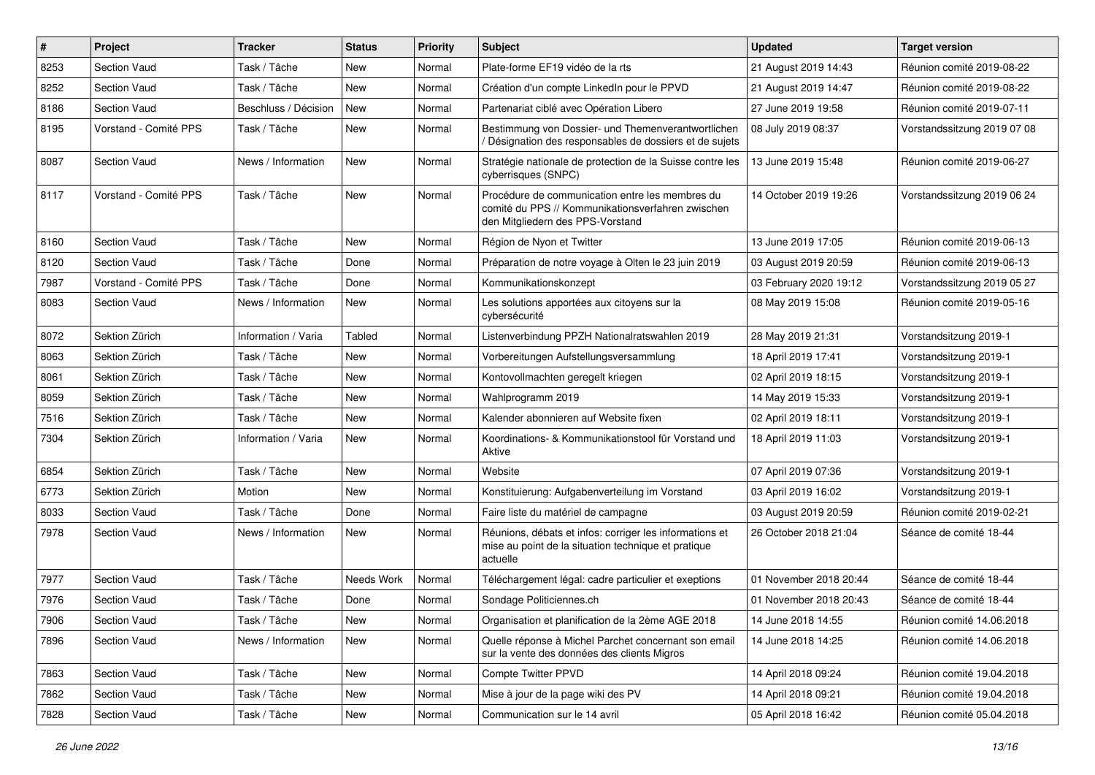| $\pmb{\#}$ | Project               | <b>Tracker</b>       | <b>Status</b> | <b>Priority</b> | <b>Subject</b>                                                                                                                           | <b>Updated</b>         | <b>Target version</b>       |
|------------|-----------------------|----------------------|---------------|-----------------|------------------------------------------------------------------------------------------------------------------------------------------|------------------------|-----------------------------|
| 8253       | Section Vaud          | Task / Tâche         | New           | Normal          | Plate-forme EF19 vidéo de la rts                                                                                                         | 21 August 2019 14:43   | Réunion comité 2019-08-22   |
| 8252       | <b>Section Vaud</b>   | Task / Tâche         | <b>New</b>    | Normal          | Création d'un compte LinkedIn pour le PPVD                                                                                               | 21 August 2019 14:47   | Réunion comité 2019-08-22   |
| 8186       | Section Vaud          | Beschluss / Décision | New           | Normal          | Partenariat ciblé avec Opération Libero                                                                                                  | 27 June 2019 19:58     | Réunion comité 2019-07-11   |
| 8195       | Vorstand - Comité PPS | Task / Tâche         | New           | Normal          | Bestimmung von Dossier- und Themenverantwortlichen<br>Désignation des responsables de dossiers et de sujets                              | 08 July 2019 08:37     | Vorstandssitzung 2019 07 08 |
| 8087       | Section Vaud          | News / Information   | <b>New</b>    | Normal          | Stratégie nationale de protection de la Suisse contre les<br>cyberrisques (SNPC)                                                         | 13 June 2019 15:48     | Réunion comité 2019-06-27   |
| 8117       | Vorstand - Comité PPS | Task / Tâche         | New           | Normal          | Procédure de communication entre les membres du<br>comité du PPS // Kommunikationsverfahren zwischen<br>den Mitgliedern des PPS-Vorstand | 14 October 2019 19:26  | Vorstandssitzung 2019 06 24 |
| 8160       | Section Vaud          | Task / Tâche         | New           | Normal          | Région de Nyon et Twitter                                                                                                                | 13 June 2019 17:05     | Réunion comité 2019-06-13   |
| 8120       | <b>Section Vaud</b>   | Task / Tâche         | Done          | Normal          | Préparation de notre voyage à Olten le 23 juin 2019                                                                                      | 03 August 2019 20:59   | Réunion comité 2019-06-13   |
| 7987       | Vorstand - Comité PPS | Task / Tâche         | Done          | Normal          | Kommunikationskonzept                                                                                                                    | 03 February 2020 19:12 | Vorstandssitzung 2019 05 27 |
| 8083       | Section Vaud          | News / Information   | New           | Normal          | Les solutions apportées aux citoyens sur la<br>cybersécurité                                                                             | 08 May 2019 15:08      | Réunion comité 2019-05-16   |
| 8072       | Sektion Zürich        | Information / Varia  | <b>Tabled</b> | Normal          | Listenverbindung PPZH Nationalratswahlen 2019                                                                                            | 28 May 2019 21:31      | Vorstandsitzung 2019-1      |
| 8063       | Sektion Zürich        | Task / Tâche         | New           | Normal          | Vorbereitungen Aufstellungsversammlung                                                                                                   | 18 April 2019 17:41    | Vorstandsitzung 2019-1      |
| 8061       | Sektion Zürich        | Task / Tâche         | New           | Normal          | Kontovollmachten geregelt kriegen                                                                                                        | 02 April 2019 18:15    | Vorstandsitzung 2019-1      |
| 8059       | Sektion Zürich        | Task / Tâche         | New           | Normal          | Wahlprogramm 2019                                                                                                                        | 14 May 2019 15:33      | Vorstandsitzung 2019-1      |
| 7516       | Sektion Zürich        | Task / Tâche         | New           | Normal          | Kalender abonnieren auf Website fixen                                                                                                    | 02 April 2019 18:11    | Vorstandsitzung 2019-1      |
| 7304       | Sektion Zürich        | Information / Varia  | New           | Normal          | Koordinations- & Kommunikationstool für Vorstand und<br>Aktive                                                                           | 18 April 2019 11:03    | Vorstandsitzung 2019-1      |
| 6854       | Sektion Zürich        | Task / Tâche         | New           | Normal          | Website                                                                                                                                  | 07 April 2019 07:36    | Vorstandsitzung 2019-1      |
| 6773       | Sektion Zürich        | Motion               | New           | Normal          | Konstituierung: Aufgabenverteilung im Vorstand                                                                                           | 03 April 2019 16:02    | Vorstandsitzung 2019-1      |
| 8033       | <b>Section Vaud</b>   | Task / Tâche         | Done          | Normal          | Faire liste du matériel de campagne                                                                                                      | 03 August 2019 20:59   | Réunion comité 2019-02-21   |
| 7978       | <b>Section Vaud</b>   | News / Information   | New           | Normal          | Réunions, débats et infos: corriger les informations et<br>mise au point de la situation technique et pratique<br>actuelle               | 26 October 2018 21:04  | Séance de comité 18-44      |
| 7977       | Section Vaud          | Task / Tâche         | Needs Work    | Normal          | Téléchargement légal: cadre particulier et exeptions                                                                                     | 01 November 2018 20:44 | Séance de comité 18-44      |
| 7976       | Section Vaud          | Task / Tâche         | Done          | Normal          | Sondage Politiciennes.ch                                                                                                                 | 01 November 2018 20:43 | Séance de comité 18-44      |
| 7906       | Section Vaud          | Task / Tâche         | New           | Normal          | Organisation et planification de la 2ème AGE 2018                                                                                        | 14 June 2018 14:55     | Réunion comité 14.06.2018   |
| 7896       | Section Vaud          | News / Information   | New           | Normal          | Quelle réponse à Michel Parchet concernant son email<br>sur la vente des données des clients Migros                                      | 14 June 2018 14:25     | Réunion comité 14.06.2018   |
| 7863       | Section Vaud          | Task / Tâche         | New           | Normal          | Compte Twitter PPVD                                                                                                                      | 14 April 2018 09:24    | Réunion comité 19.04.2018   |
| 7862       | Section Vaud          | Task / Tâche         | New           | Normal          | Mise à jour de la page wiki des PV                                                                                                       | 14 April 2018 09:21    | Réunion comité 19.04.2018   |
| 7828       | Section Vaud          | Task / Tâche         | New           | Normal          | Communication sur le 14 avril                                                                                                            | 05 April 2018 16:42    | Réunion comité 05.04.2018   |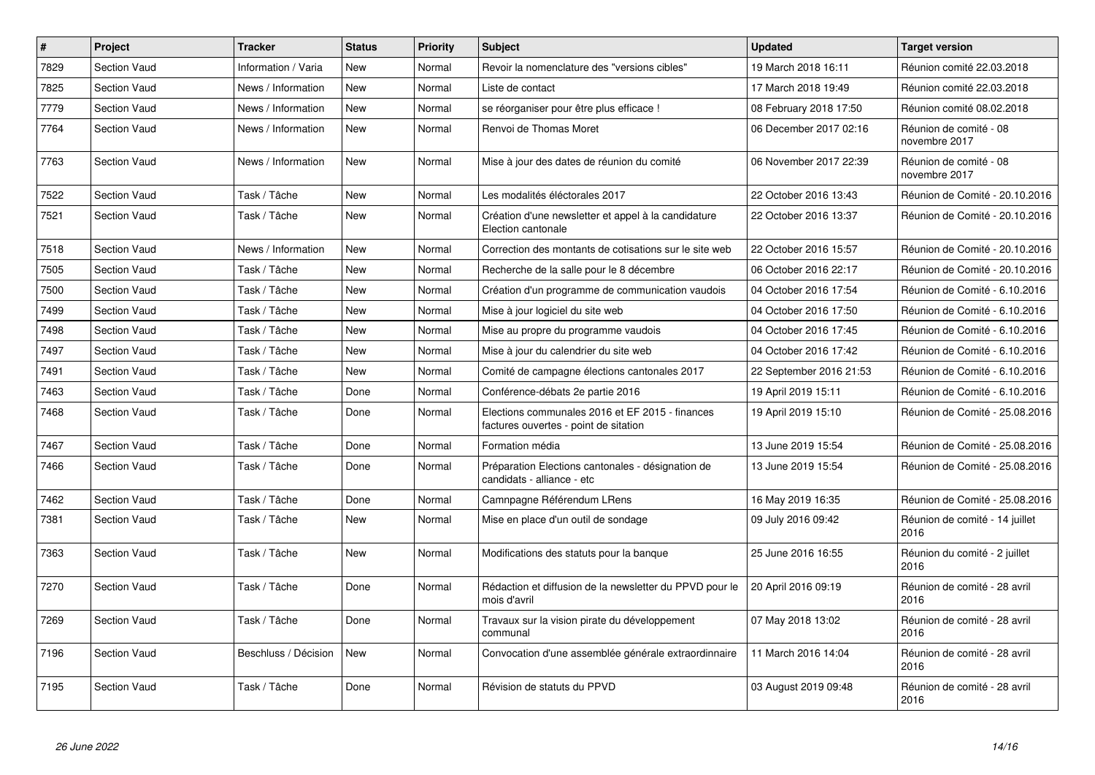| $\vert$ # | <b>Project</b>      | <b>Tracker</b>       | <b>Status</b> | <b>Priority</b> | <b>Subject</b>                                                                           | <b>Updated</b>          | <b>Target version</b>                   |
|-----------|---------------------|----------------------|---------------|-----------------|------------------------------------------------------------------------------------------|-------------------------|-----------------------------------------|
| 7829      | Section Vaud        | Information / Varia  | <b>New</b>    | Normal          | Revoir la nomenclature des "versions cibles"                                             | 19 March 2018 16:11     | Réunion comité 22.03.2018               |
| 7825      | Section Vaud        | News / Information   | <b>New</b>    | Normal          | Liste de contact                                                                         | 17 March 2018 19:49     | Réunion comité 22.03.2018               |
| 7779      | <b>Section Vaud</b> | News / Information   | <b>New</b>    | Normal          | se réorganiser pour être plus efficace !                                                 | 08 February 2018 17:50  | Réunion comité 08.02.2018               |
| 7764      | <b>Section Vaud</b> | News / Information   | <b>New</b>    | Normal          | Renvoi de Thomas Moret                                                                   | 06 December 2017 02:16  | Réunion de comité - 08<br>novembre 2017 |
| 7763      | <b>Section Vaud</b> | News / Information   | <b>New</b>    | Normal          | Mise à jour des dates de réunion du comité                                               | 06 November 2017 22:39  | Réunion de comité - 08<br>novembre 2017 |
| 7522      | Section Vaud        | Task / Tâche         | <b>New</b>    | Normal          | Les modalités éléctorales 2017                                                           | 22 October 2016 13:43   | Réunion de Comité - 20.10.2016          |
| 7521      | Section Vaud        | Task / Tâche         | <b>New</b>    | Normal          | Création d'une newsletter et appel à la candidature<br>Election cantonale                | 22 October 2016 13:37   | Réunion de Comité - 20.10.2016          |
| 7518      | Section Vaud        | News / Information   | <b>New</b>    | Normal          | Correction des montants de cotisations sur le site web                                   | 22 October 2016 15:57   | Réunion de Comité - 20.10.2016          |
| 7505      | Section Vaud        | Task / Tâche         | <b>New</b>    | Normal          | Recherche de la salle pour le 8 décembre                                                 | 06 October 2016 22:17   | Réunion de Comité - 20.10.2016          |
| 7500      | Section Vaud        | Task / Tâche         | <b>New</b>    | Normal          | Création d'un programme de communication vaudois                                         | 04 October 2016 17:54   | Réunion de Comité - 6.10.2016           |
| 7499      | <b>Section Vaud</b> | Task / Tâche         | <b>New</b>    | Normal          | Mise à jour logiciel du site web                                                         | 04 October 2016 17:50   | Réunion de Comité - 6.10.2016           |
| 7498      | Section Vaud        | Task / Tâche         | <b>New</b>    | Normal          | Mise au propre du programme vaudois                                                      | 04 October 2016 17:45   | Réunion de Comité - 6.10.2016           |
| 7497      | Section Vaud        | Task / Tâche         | <b>New</b>    | Normal          | Mise à jour du calendrier du site web                                                    | 04 October 2016 17:42   | Réunion de Comité - 6.10.2016           |
| 7491      | Section Vaud        | Task / Tâche         | New           | Normal          | Comité de campagne élections cantonales 2017                                             | 22 September 2016 21:53 | Réunion de Comité - 6.10.2016           |
| 7463      | Section Vaud        | Task / Tâche         | Done          | Normal          | Conférence-débats 2e partie 2016                                                         | 19 April 2019 15:11     | Réunion de Comité - 6.10.2016           |
| 7468      | Section Vaud        | Task / Tâche         | Done          | Normal          | Elections communales 2016 et EF 2015 - finances<br>factures ouvertes - point de sitation | 19 April 2019 15:10     | Réunion de Comité - 25.08.2016          |
| 7467      | <b>Section Vaud</b> | Task / Tâche         | Done          | Normal          | Formation média                                                                          | 13 June 2019 15:54      | Réunion de Comité - 25.08.2016          |
| 7466      | Section Vaud        | Task / Tâche         | Done          | Normal          | Préparation Elections cantonales - désignation de<br>candidats - alliance - etc          | 13 June 2019 15:54      | Réunion de Comité - 25.08.2016          |
| 7462      | <b>Section Vaud</b> | Task / Tâche         | Done          | Normal          | Camnpagne Référendum LRens                                                               | 16 May 2019 16:35       | Réunion de Comité - 25.08.2016          |
| 7381      | Section Vaud        | Task / Tâche         | New           | Normal          | Mise en place d'un outil de sondage                                                      | 09 July 2016 09:42      | Réunion de comité - 14 juillet<br>2016  |
| 7363      | Section Vaud        | Task / Tâche         | New           | Normal          | Modifications des statuts pour la banque                                                 | 25 June 2016 16:55      | Réunion du comité - 2 juillet<br>2016   |
| 7270      | <b>Section Vaud</b> | Task / Tâche         | Done          | Normal          | Rédaction et diffusion de la newsletter du PPVD pour le<br>mois d'avril                  | 20 April 2016 09:19     | Réunion de comité - 28 avril<br>2016    |
| 7269      | <b>Section Vaud</b> | Task / Tâche         | Done          | Normal          | Travaux sur la vision pirate du développement<br>communal                                | 07 May 2018 13:02       | Réunion de comité - 28 avril<br>2016    |
| 7196      | <b>Section Vaud</b> | Beschluss / Décision | <b>New</b>    | Normal          | Convocation d'une assemblée générale extraordinnaire                                     | 11 March 2016 14:04     | Réunion de comité - 28 avril<br>2016    |
| 7195      | <b>Section Vaud</b> | Task / Tâche         | Done          | Normal          | Révision de statuts du PPVD                                                              | 03 August 2019 09:48    | Réunion de comité - 28 avril<br>2016    |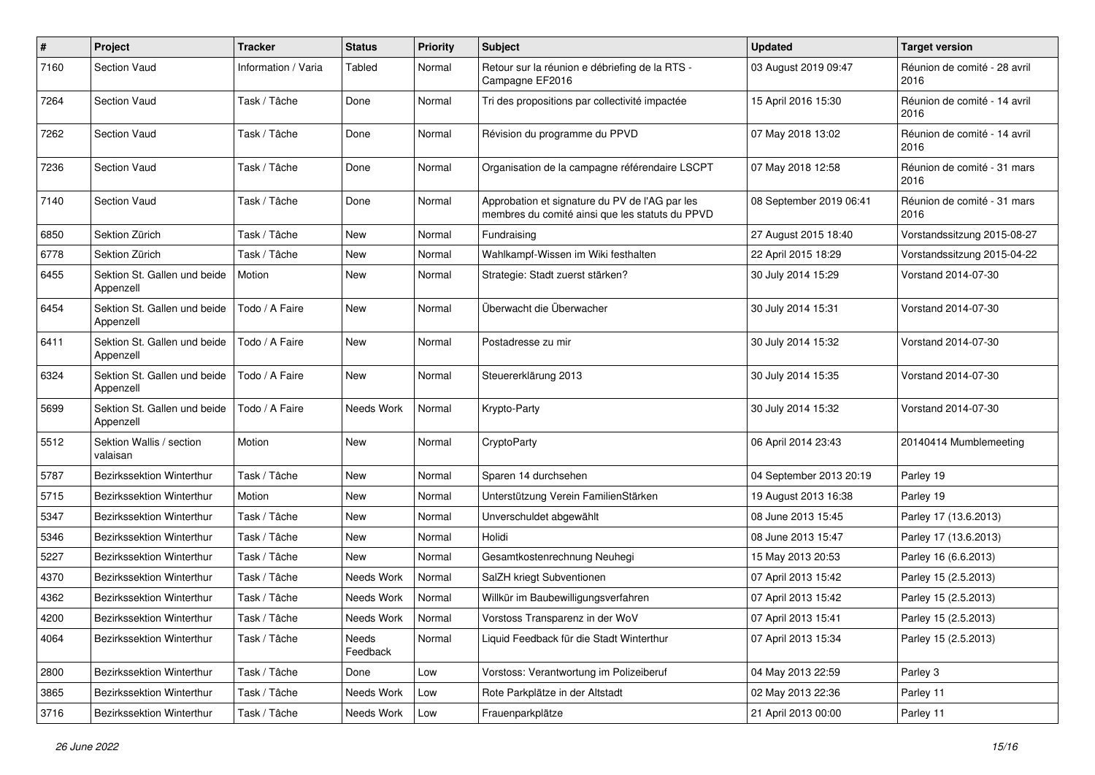| $\#$ | Project                                   | <b>Tracker</b>      | <b>Status</b>     | <b>Priority</b> | <b>Subject</b>                                                                                    | <b>Updated</b>          | <b>Target version</b>                |
|------|-------------------------------------------|---------------------|-------------------|-----------------|---------------------------------------------------------------------------------------------------|-------------------------|--------------------------------------|
| 7160 | <b>Section Vaud</b>                       | Information / Varia | Tabled            | Normal          | Retour sur la réunion e débriefing de la RTS -<br>Campagne EF2016                                 | 03 August 2019 09:47    | Réunion de comité - 28 avril<br>2016 |
| 7264 | <b>Section Vaud</b>                       | Task / Tâche        | Done              | Normal          | Tri des propositions par collectivité impactée                                                    | 15 April 2016 15:30     | Réunion de comité - 14 avril<br>2016 |
| 7262 | <b>Section Vaud</b>                       | Task / Tâche        | Done              | Normal          | Révision du programme du PPVD                                                                     | 07 May 2018 13:02       | Réunion de comité - 14 avril<br>2016 |
| 7236 | <b>Section Vaud</b>                       | Task / Tâche        | Done              | Normal          | Organisation de la campagne référendaire LSCPT                                                    | 07 May 2018 12:58       | Réunion de comité - 31 mars<br>2016  |
| 7140 | <b>Section Vaud</b>                       | Task / Tâche        | Done              | Normal          | Approbation et signature du PV de l'AG par les<br>membres du comité ainsi que les statuts du PPVD | 08 September 2019 06:41 | Réunion de comité - 31 mars<br>2016  |
| 6850 | Sektion Zürich                            | Task / Tâche        | New               | Normal          | Fundraising                                                                                       | 27 August 2015 18:40    | Vorstandssitzung 2015-08-27          |
| 6778 | Sektion Zürich                            | Task / Tâche        | New               | Normal          | Wahlkampf-Wissen im Wiki festhalten                                                               | 22 April 2015 18:29     | Vorstandssitzung 2015-04-22          |
| 6455 | Sektion St. Gallen und beide<br>Appenzell | Motion              | <b>New</b>        | Normal          | Strategie: Stadt zuerst stärken?                                                                  | 30 July 2014 15:29      | Vorstand 2014-07-30                  |
| 6454 | Sektion St. Gallen und beide<br>Appenzell | Todo / A Faire      | <b>New</b>        | Normal          | Überwacht die Überwacher                                                                          | 30 July 2014 15:31      | Vorstand 2014-07-30                  |
| 6411 | Sektion St. Gallen und beide<br>Appenzell | Todo / A Faire      | <b>New</b>        | Normal          | Postadresse zu mir                                                                                | 30 July 2014 15:32      | Vorstand 2014-07-30                  |
| 6324 | Sektion St. Gallen und beide<br>Appenzell | Todo / A Faire      | <b>New</b>        | Normal          | Steuererklärung 2013                                                                              | 30 July 2014 15:35      | Vorstand 2014-07-30                  |
| 5699 | Sektion St. Gallen und beide<br>Appenzell | Todo / A Faire      | Needs Work        | Normal          | Krypto-Party                                                                                      | 30 July 2014 15:32      | Vorstand 2014-07-30                  |
| 5512 | Sektion Wallis / section<br>valaisan      | Motion              | New               | Normal          | CryptoParty                                                                                       | 06 April 2014 23:43     | 20140414 Mumblemeeting               |
| 5787 | Bezirkssektion Winterthur                 | Task / Tâche        | <b>New</b>        | Normal          | Sparen 14 durchsehen                                                                              | 04 September 2013 20:19 | Parley 19                            |
| 5715 | Bezirkssektion Winterthur                 | Motion              | New               | Normal          | Unterstützung Verein FamilienStärken                                                              | 19 August 2013 16:38    | Parley 19                            |
| 5347 | Bezirkssektion Winterthur                 | Task / Tâche        | New               | Normal          | Unverschuldet abgewählt                                                                           | 08 June 2013 15:45      | Parley 17 (13.6.2013)                |
| 5346 | Bezirkssektion Winterthur                 | Task / Tâche        | New               | Normal          | Holidi                                                                                            | 08 June 2013 15:47      | Parley 17 (13.6.2013)                |
| 5227 | <b>Bezirkssektion Winterthur</b>          | Task / Tâche        | <b>New</b>        | Normal          | Gesamtkostenrechnung Neuhegi                                                                      | 15 May 2013 20:53       | Parley 16 (6.6.2013)                 |
| 4370 | Bezirkssektion Winterthur                 | Task / Tâche        | Needs Work        | Normal          | SalZH kriegt Subventionen                                                                         | 07 April 2013 15:42     | Parley 15 (2.5.2013)                 |
| 4362 | <b>Bezirkssektion Winterthur</b>          | Task / Tâche        | Needs Work        | Normal          | Willkür im Baubewilligungsverfahren                                                               | 07 April 2013 15:42     | Parley 15 (2.5.2013)                 |
| 4200 | Bezirkssektion Winterthur                 | Task / Tâche        | Needs Work        | Normal          | Vorstoss Transparenz in der WoV                                                                   | 07 April 2013 15:41     | Parley 15 (2.5.2013)                 |
| 4064 | Bezirkssektion Winterthur                 | Task / Tâche        | Needs<br>Feedback | Normal          | Liquid Feedback für die Stadt Winterthur                                                          | 07 April 2013 15:34     | Parley 15 (2.5.2013)                 |
| 2800 | Bezirkssektion Winterthur                 | Task / Tâche        | Done              | Low             | Vorstoss: Verantwortung im Polizeiberuf                                                           | 04 May 2013 22:59       | Parley 3                             |
| 3865 | <b>Bezirkssektion Winterthur</b>          | Task / Tâche        | Needs Work        | Low             | Rote Parkplätze in der Altstadt                                                                   | 02 May 2013 22:36       | Parley 11                            |
| 3716 | Bezirkssektion Winterthur                 | Task / Tâche        | Needs Work        | Low             | Frauenparkplätze                                                                                  | 21 April 2013 00:00     | Parley 11                            |